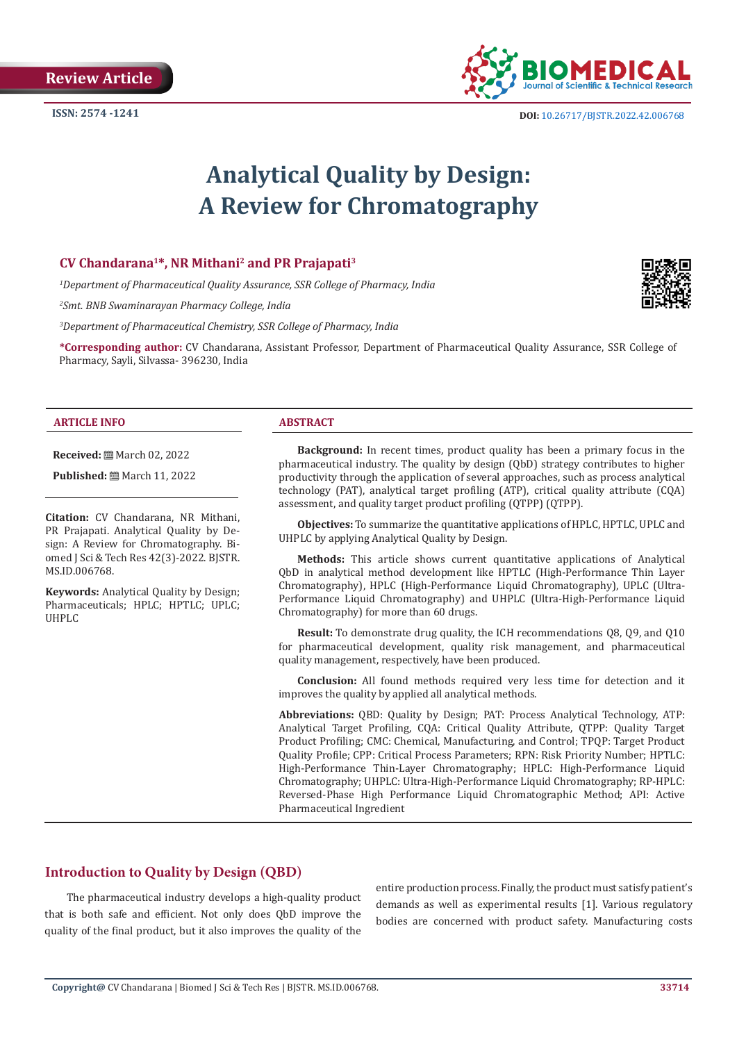

**ISSN:** 2574 -1241 **DOI:** [10.26717/BJSTR.2022.42.006768](https://dx.doi.org/10.26717/BJSTR.2022.42.006768)

# **Analytical Quality by Design: A Review for Chromatography**

## **CV Chandarana1\*, NR Mithani2 and PR Prajapati3**

*1 Department of Pharmaceutical Quality Assurance, SSR College of Pharmacy, India*

*2 Smt. BNB Swaminarayan Pharmacy College, India*

*3 Department of Pharmaceutical Chemistry, SSR College of Pharmacy, India*

**\*Corresponding author:** CV Chandarana, Assistant Professor, Department of Pharmaceutical Quality Assurance, SSR College of Pharmacy, Sayli, Silvassa- 396230, India

#### **ARTICLE INFO ABSTRACT**

**Received:** March 02, 2022

**Published:** ■ March 11, 2022

**Citation:** CV Chandarana, NR Mithani, PR Prajapati. Analytical Quality by Design: A Review for Chromatography. Biomed J Sci & Tech Res 42(3)-2022. BJSTR. MS.ID.006768.

**Keywords:** Analytical Quality by Design; Pharmaceuticals; HPLC; HPTLC; UPLC; UHPLC

**Background:** In recent times, product quality has been a primary focus in the pharmaceutical industry. The quality by design (QbD) strategy contributes to higher productivity through the application of several approaches, such as process analytical technology (PAT), analytical target profiling (ATP), critical quality attribute (CQA) assessment, and quality target product profiling (QTPP) (QTPP).

**Objectives:** To summarize the quantitative applications of HPLC, HPTLC, UPLC and UHPLC by applying Analytical Quality by Design.

**Methods:** This article shows current quantitative applications of Analytical QbD in analytical method development like HPTLC (High-Performance Thin Layer Chromatography), HPLC (High-Performance Liquid Chromatography), UPLC (Ultra-Performance Liquid Chromatography) and UHPLC (Ultra-High-Performance Liquid Chromatography) for more than 60 drugs.

**Result:** To demonstrate drug quality, the ICH recommendations 08, 09, and 010 for pharmaceutical development, quality risk management, and pharmaceutical quality management, respectively, have been produced.

**Conclusion:** All found methods required very less time for detection and it improves the quality by applied all analytical methods.

**Abbreviations:** QBD: Quality by Design; PAT: Process Analytical Technology, ATP: Analytical Target Profiling, CQA: Critical Quality Attribute, QTPP: Quality Target Product Profiling; CMC: Chemical, Manufacturing, and Control; TPQP: Target Product Quality Profile; CPP: Critical Process Parameters; RPN: Risk Priority Number; HPTLC: High-Performance Thin-Layer Chromatography; HPLC: High-Performance Liquid Chromatography; UHPLC: Ultra-High-Performance Liquid Chromatography; RP-HPLC: Reversed-Phase High Performance Liquid Chromatographic Method; API: Active Pharmaceutical Ingredient

# **Introduction to Quality by Design (QBD)**

 The pharmaceutical industry develops a high-quality product that is both safe and efficient. Not only does QbD improve the quality of the final product, but it also improves the quality of the

entire production process. Finally, the product must satisfy patient's demands as well as experimental results [1]. Various regulatory bodies are concerned with product safety. Manufacturing costs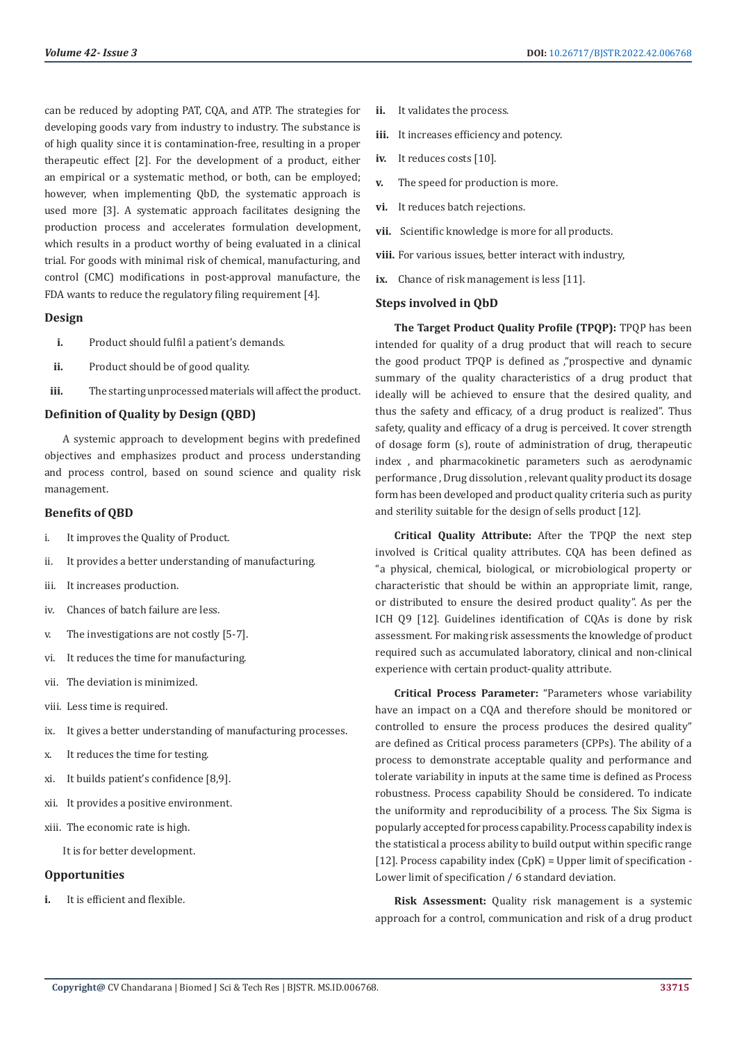can be reduced by adopting PAT, CQA, and ATP. The strategies for developing goods vary from industry to industry. The substance is of high quality since it is contamination-free, resulting in a proper therapeutic effect [2]. For the development of a product, either an empirical or a systematic method, or both, can be employed; however, when implementing QbD, the systematic approach is used more [3]. A systematic approach facilitates designing the production process and accelerates formulation development, which results in a product worthy of being evaluated in a clinical trial. For goods with minimal risk of chemical, manufacturing, and control (CMC) modifications in post-approval manufacture, the FDA wants to reduce the regulatory filing requirement [4].

#### **Design**

- **i.** Product should fulfil a patient's demands.
- ii. Product should be of good quality.
- **iii.** The starting unprocessed materials will affect the product.

#### **Definition of Quality by Design (QBD)**

A systemic approach to development begins with predefined objectives and emphasizes product and process understanding and process control, based on sound science and quality risk management.

#### **Benefits of QBD**

- i. It improves the Quality of Product.
- ii. It provides a better understanding of manufacturing.
- iii. It increases production.
- iv. Chances of batch failure are less.
- v. The investigations are not costly [5-7].
- vi. It reduces the time for manufacturing.
- vii. The deviation is minimized.
- viii. Less time is required.
- ix. It gives a better understanding of manufacturing processes.
- x. It reduces the time for testing.
- xi. It builds patient's confidence [8,9].
- xii. It provides a positive environment.
- xiii. The economic rate is high.

It is for better development.

#### **Opportunities**

**i.** It is efficient and flexible.

- **ii.** It validates the process.
- **iii.** It increases efficiency and potency.
- **iv.** It reduces costs [10].
- **v.** The speed for production is more.
- **vi.** It reduces batch rejections.
- **vii.** Scientific knowledge is more for all products.
- **viii.** For various issues, better interact with industry,
- **ix.** Chance of risk management is less [11].

#### **Steps involved in QbD**

**The Target Product Quality Profile (TPQP):** TPQP has been intended for quality of a drug product that will reach to secure the good product TPQP is defined as ,"prospective and dynamic summary of the quality characteristics of a drug product that ideally will be achieved to ensure that the desired quality, and thus the safety and efficacy, of a drug product is realized". Thus safety, quality and efficacy of a drug is perceived. It cover strength of dosage form (s), route of administration of drug, therapeutic index , and pharmacokinetic parameters such as aerodynamic performance , Drug dissolution , relevant quality product its dosage form has been developed and product quality criteria such as purity and sterility suitable for the design of sells product [12].

**Critical Quality Attribute:** After the TPQP the next step involved is Critical quality attributes. CQA has been defined as "a physical, chemical, biological, or microbiological property or characteristic that should be within an appropriate limit, range, or distributed to ensure the desired product quality". As per the ICH Q9 [12]. Guidelines identification of CQAs is done by risk assessment. For making risk assessments the knowledge of product required such as accumulated laboratory, clinical and non-clinical experience with certain product-quality attribute.

**Critical Process Parameter:** "Parameters whose variability have an impact on a CQA and therefore should be monitored or controlled to ensure the process produces the desired quality" are defined as Critical process parameters (CPPs). The ability of a process to demonstrate acceptable quality and performance and tolerate variability in inputs at the same time is defined as Process robustness. Process capability Should be considered. To indicate the uniformity and reproducibility of a process. The Six Sigma is popularly accepted for process capability. Process capability index is the statistical a process ability to build output within specific range [12]. Process capability index  $(CpK)$  = Upper limit of specification -Lower limit of specification / 6 standard deviation.

**Risk Assessment:** Quality risk management is a systemic approach for a control, communication and risk of a drug product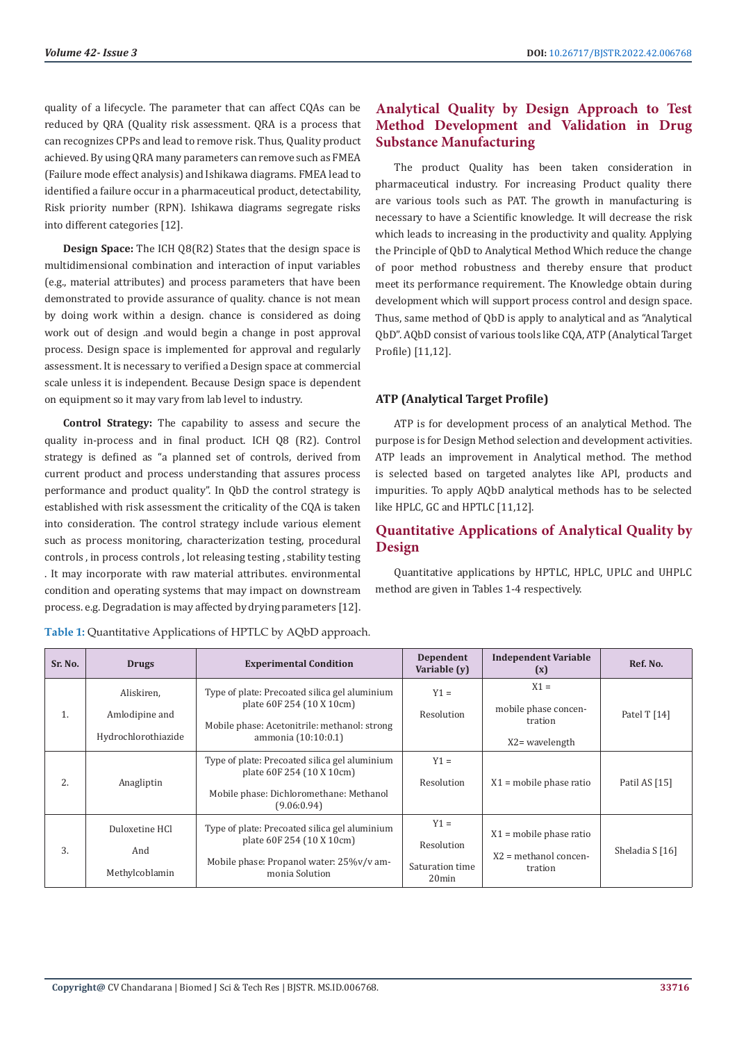quality of a lifecycle. The parameter that can affect CQAs can be reduced by QRA (Quality risk assessment. QRA is a process that can recognizes CPPs and lead to remove risk. Thus, Quality product achieved. By using QRA many parameters can remove such as FMEA (Failure mode effect analysis) and Ishikawa diagrams. FMEA lead to identified a failure occur in a pharmaceutical product, detectability, Risk priority number (RPN). Ishikawa diagrams segregate risks into different categories [12].

**Design Space:** The ICH Q8(R2) States that the design space is multidimensional combination and interaction of input variables (e.g., material attributes) and process parameters that have been demonstrated to provide assurance of quality. chance is not mean by doing work within a design. chance is considered as doing work out of design .and would begin a change in post approval process. Design space is implemented for approval and regularly assessment. It is necessary to verified a Design space at commercial scale unless it is independent. Because Design space is dependent on equipment so it may vary from lab level to industry.

**Control Strategy:** The capability to assess and secure the quality in-process and in final product. ICH Q8 (R2). Control strategy is defined as "a planned set of controls, derived from current product and process understanding that assures process performance and product quality". In QbD the control strategy is established with risk assessment the criticality of the CQA is taken into consideration. The control strategy include various element such as process monitoring, characterization testing, procedural controls , in process controls , lot releasing testing , stability testing . It may incorporate with raw material attributes. environmental condition and operating systems that may impact on downstream process. e.g. Degradation is may affected by drying parameters [12].

# **Analytical Quality by Design Approach to Test Method Development and Validation in Drug Substance Manufacturing**

The product Quality has been taken consideration in pharmaceutical industry. For increasing Product quality there are various tools such as PAT. The growth in manufacturing is necessary to have a Scientific knowledge. It will decrease the risk which leads to increasing in the productivity and quality. Applying the Principle of QbD to Analytical Method Which reduce the change of poor method robustness and thereby ensure that product meet its performance requirement. The Knowledge obtain during development which will support process control and design space. Thus, same method of QbD is apply to analytical and as "Analytical QbD". AQbD consist of various tools like CQA, ATP (Analytical Target Profile) [11,12].

## **ATP (Analytical Target Profile)**

ATP is for development process of an analytical Method. The purpose is for Design Method selection and development activities. ATP leads an improvement in Analytical method. The method is selected based on targeted analytes like API, products and impurities. To apply AQbD analytical methods has to be selected like HPLC, GC and HPTLC [11,12].

# **Quantitative Applications of Analytical Quality by Design**

Quantitative applications by HPTLC, HPLC, UPLC and UHPLC method are given in Tables 1-4 respectively.

| Sr. No. | <b>Drugs</b>                                        | <b>Experimental Condition</b>                                                                                                                     | Dependent<br>Variable (y)                           | <b>Independent Variable</b><br>(x)                              | Ref. No.        |
|---------|-----------------------------------------------------|---------------------------------------------------------------------------------------------------------------------------------------------------|-----------------------------------------------------|-----------------------------------------------------------------|-----------------|
| 1.      | Aliskiren,<br>Amlodipine and<br>Hydrochlorothiazide | Type of plate: Precoated silica gel aluminium<br>plate 60F 254 (10 X 10cm)<br>Mobile phase: Acetonitrile: methanol: strong<br>ammonia (10:10:0.1) | $Y1 =$<br>Resolution                                | $X1 =$<br>mobile phase concen-<br>tration<br>$X2$ = wavelength  | Patel T [14]    |
| 2.      | Anagliptin                                          | Type of plate: Precoated silica gel aluminium<br>plate 60F 254 (10 X 10cm)<br>Mobile phase: Dichloromethane: Methanol<br>(9.06:0.94)              | $Y1 =$<br>Resolution                                | $X1$ = mobile phase ratio                                       | Patil AS [15]   |
| 3.      | Duloxetine HCl<br>And<br>Methylcoblamin             | Type of plate: Precoated silica gel aluminium<br>plate 60F 254 (10 X 10cm)<br>Mobile phase: Propanol water: 25%v/v am-<br>monia Solution          | $Y1 =$<br>Resolution<br>Saturation time<br>$20$ min | $X1$ = mobile phase ratio<br>$X2$ = methanol concen-<br>tration | Sheladia S [16] |

**Table 1:** Quantitative Applications of HPTLC by AQbD approach.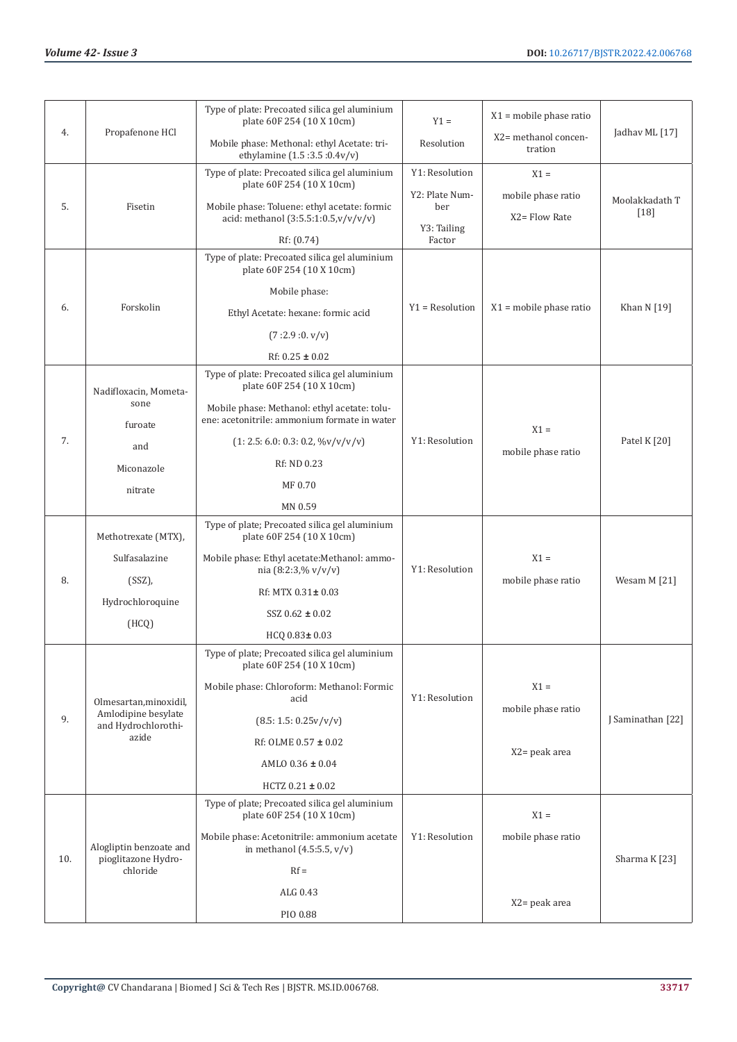|     |                                                | Type of plate: Precoated silica gel aluminium<br>plate 60F 254 (10 X 10cm)                   | $Y1 =$                | $X1$ = mobile phase ratio       |                   |
|-----|------------------------------------------------|----------------------------------------------------------------------------------------------|-----------------------|---------------------------------|-------------------|
| 4.  | Propafenone HCl                                | Mobile phase: Methonal: ethyl Acetate: tri-<br>ethylamine (1.5:3.5:0.4v/v)                   | Resolution            | X2= methanol concen-<br>tration | Jadhav ML [17]    |
|     |                                                | Type of plate: Precoated silica gel aluminium                                                | Y1: Resolution        | $X1 =$                          |                   |
|     |                                                | plate 60F 254 (10 X 10cm)                                                                    | Y2: Plate Num-        | mobile phase ratio              | Moolakkadath T    |
| 5.  | Fisetin                                        | Mobile phase: Toluene: ethyl acetate: formic<br>acid: methanol (3:5.5:1:0.5,v/v/v/v)         | ber                   | X2= Flow Rate                   | $[18]$            |
|     |                                                | Rf: (0.74)                                                                                   | Y3: Tailing<br>Factor |                                 |                   |
|     |                                                | Type of plate: Precoated silica gel aluminium<br>plate 60F 254 (10 X 10cm)                   |                       |                                 |                   |
|     |                                                | Mobile phase:                                                                                |                       |                                 |                   |
| 6.  | Forskolin                                      | Ethyl Acetate: hexane: formic acid                                                           | $Y1 = Resolution$     | $X1$ = mobile phase ratio       | Khan N [19]       |
|     |                                                | (7:2.9:0. v/v)                                                                               |                       |                                 |                   |
|     |                                                | Rf: $0.25 \pm 0.02$                                                                          |                       |                                 |                   |
|     | Nadifloxacin, Mometa-                          | Type of plate: Precoated silica gel aluminium<br>plate 60F 254 (10 X 10cm)                   |                       |                                 |                   |
|     | sone<br>furoate                                | Mobile phase: Methanol: ethyl acetate: tolu-<br>ene: acetonitrile: ammonium formate in water |                       | $X1 =$                          |                   |
| 7.  | and                                            | $(1: 2.5: 6.0: 0.3: 0.2, \frac{\%v}{v}{v/v})$                                                | Y1: Resolution        |                                 | Patel K [20]      |
|     | Miconazole<br>nitrate                          | Rf: ND 0.23                                                                                  |                       | mobile phase ratio              |                   |
|     |                                                | MF 0.70                                                                                      |                       |                                 |                   |
|     |                                                | MN 0.59                                                                                      |                       |                                 |                   |
|     | Methotrexate (MTX),                            | Type of plate; Precoated silica gel aluminium<br>plate 60F 254 (10 X 10cm)                   |                       |                                 |                   |
|     | Sulfasalazine                                  | Mobile phase: Ethyl acetate: Methanol: ammo-<br>nia (8:2:3,% $v/v/v$ )                       | Y1: Resolution        | $X1 =$                          |                   |
| 8.  | $(SSZ)$ ,                                      | Rf: MTX $0.31 \pm 0.03$                                                                      |                       | mobile phase ratio              | Wesam M [21]      |
|     | Hydrochloroquine                               | $SSZ 0.62 \pm 0.02$                                                                          |                       |                                 |                   |
|     | (HCQ)                                          | HCQ 0.83± 0.03                                                                               |                       |                                 |                   |
|     |                                                | Type of plate; Precoated silica gel aluminium<br>plate 60F 254 (10 X 10cm)                   |                       |                                 |                   |
|     | Olmesartan, minoxidil,                         | Mobile phase: Chloroform: Methanol: Formic<br>acid                                           | Y1: Resolution        | $X1 =$                          |                   |
| 9.  | Amlodipine besylate                            | (8.5: 1.5: 0.25v/v/v)                                                                        |                       | mobile phase ratio              | J Saminathan [22] |
|     | and Hydrochlorothi-<br>azide                   | Rf: OLME $0.57 \pm 0.02$                                                                     |                       |                                 |                   |
|     |                                                | AMLO $0.36 \pm 0.04$                                                                         |                       | X2= peak area                   |                   |
|     |                                                | HCTZ $0.21 \pm 0.02$                                                                         |                       |                                 |                   |
|     |                                                | Type of plate; Precoated silica gel aluminium                                                |                       |                                 |                   |
|     |                                                | plate 60F 254 (10 X 10cm)                                                                    |                       | $X1 =$                          |                   |
| 10. | Alogliptin benzoate and<br>pioglitazone Hydro- | Mobile phase: Acetonitrile: ammonium acetate<br>in methanol $(4.5:5.5, v/v)$                 | Y1: Resolution        | mobile phase ratio              | Sharma K [23]     |
|     | chloride                                       | $Rf =$                                                                                       |                       |                                 |                   |
|     |                                                | ALG 0.43                                                                                     |                       |                                 |                   |
|     |                                                | PIO 0.88                                                                                     |                       | X2= peak area                   |                   |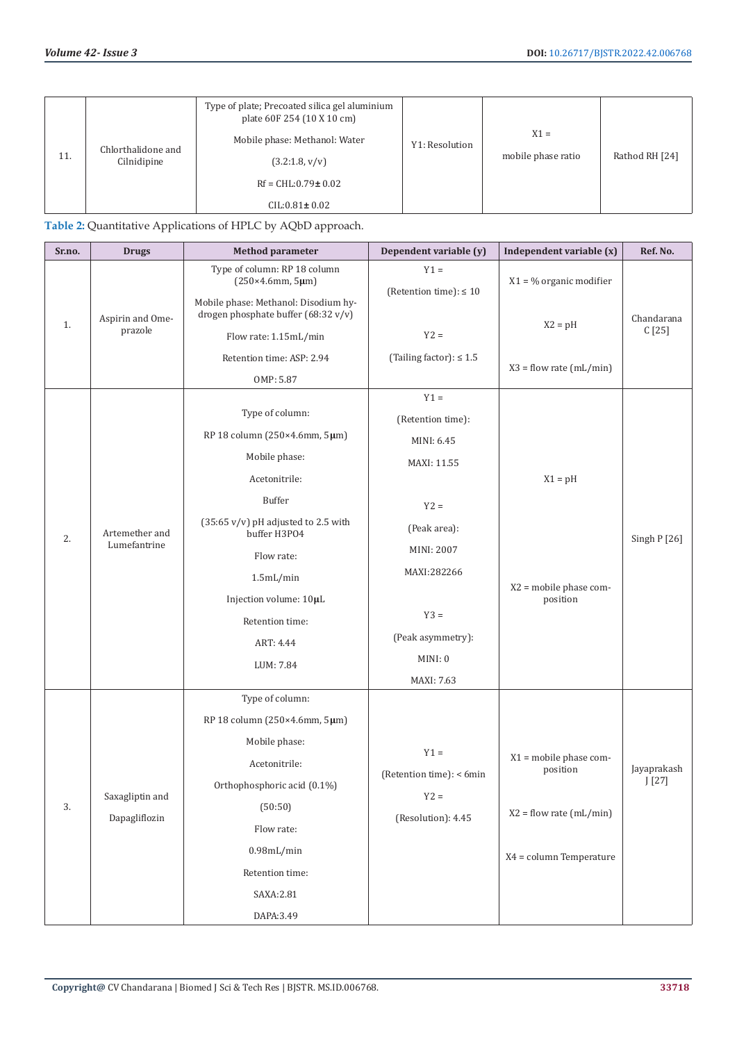| 11. | Chlorthalidone and<br>Cilnidipine | Type of plate; Precoated silica gel aluminium<br>plate 60F 254 (10 X 10 cm)<br>Mobile phase: Methanol: Water<br>(3.2:1.8, v/v)<br>$Rf = CHL: 0.79 \pm 0.02$<br>$CIL: 0.81 \pm 0.02$ | Y1: Resolution | $X1 =$<br>mobile phase ratio | Rathod RH [24] |
|-----|-----------------------------------|-------------------------------------------------------------------------------------------------------------------------------------------------------------------------------------|----------------|------------------------------|----------------|
|     |                                   |                                                                                                                                                                                     |                |                              |                |

# **Table 2:** Quantitative Applications of HPLC by AQbD approach.

| Sr.no. | <b>Drugs</b>                | <b>Method parameter</b>                                                                              | Dependent variable (y)                | Independent variable (x)   | Ref. No.             |
|--------|-----------------------------|------------------------------------------------------------------------------------------------------|---------------------------------------|----------------------------|----------------------|
|        | Aspirin and Ome-<br>prazole | Type of column: RP 18 column<br>(250×4.6mm, 5µm)                                                     | $Y1 =$<br>(Retention time): $\leq 10$ | $X1 = \%$ organic modifier |                      |
| 1.     |                             | Mobile phase: Methanol: Disodium hy-<br>drogen phosphate buffer (68:32 v/v)<br>Flow rate: 1.15mL/min | $Y2 =$                                | $X2 = pH$                  | Chandarana<br>C[25]  |
|        |                             | Retention time: ASP: 2.94                                                                            | (Tailing factor): $\leq 1.5$          |                            |                      |
|        |                             | OMP: 5.87                                                                                            |                                       | $X3 = flow$ rate (mL/min)  |                      |
|        |                             |                                                                                                      | $Y1 =$                                |                            |                      |
|        |                             | Type of column:                                                                                      | (Retention time):                     |                            |                      |
|        |                             | RP 18 column (250×4.6mm, 5µm)                                                                        | MINI: 6.45                            |                            |                      |
|        |                             | Mobile phase:                                                                                        | MAXI: 11.55                           |                            |                      |
|        |                             | Acetonitrile:                                                                                        |                                       | $X1 = pH$                  |                      |
|        |                             | <b>Buffer</b>                                                                                        | $Y2 =$                                |                            |                      |
|        | Artemether and              | $(35:65 \text{ v/v})$ pH adjusted to 2.5 with                                                        | (Peak area):                          |                            |                      |
| 2.     | Lumefantrine                | buffer H3PO4<br>Flow rate:                                                                           | MINI: 2007                            |                            | Singh $P$ [26]       |
|        |                             |                                                                                                      | MAXI:282266                           |                            |                      |
|        |                             | 1.5mL/min                                                                                            |                                       | $X2$ = mobile phase com-   |                      |
|        |                             | Injection volume: 10µL                                                                               | $Y3 =$                                | position                   |                      |
|        |                             | Retention time:                                                                                      | (Peak asymmetry):                     |                            |                      |
|        |                             | ART: 4.44                                                                                            | MINI: 0                               |                            |                      |
|        |                             | LUM: 7.84                                                                                            |                                       |                            |                      |
|        |                             | Type of column:                                                                                      | MAXI: 7.63                            |                            |                      |
|        |                             | RP 18 column (250×4.6mm, 5µm)                                                                        |                                       |                            |                      |
|        |                             | Mobile phase:                                                                                        |                                       |                            |                      |
|        |                             | Acetonitrile:                                                                                        | $Y1 =$                                | $X1$ = mobile phase com-   |                      |
|        |                             | Orthophosphoric acid (0.1%)                                                                          | (Retention time): < 6min              | position                   | Jayaprakash<br>J[27] |
|        | Saxagliptin and             |                                                                                                      | $YZ =$                                |                            |                      |
| 3.     | Dapagliflozin               | (50:50)                                                                                              | (Resolution): 4.45                    | $X2 = flow$ rate (mL/min)  |                      |
|        |                             | Flow rate:                                                                                           |                                       |                            |                      |
|        |                             | $0.98$ mL/min                                                                                        |                                       | X4 = column Temperature    |                      |
|        |                             | Retention time:                                                                                      |                                       |                            |                      |
|        |                             | SAXA:2.81                                                                                            |                                       |                            |                      |
|        |                             | DAPA: 3.49                                                                                           |                                       |                            |                      |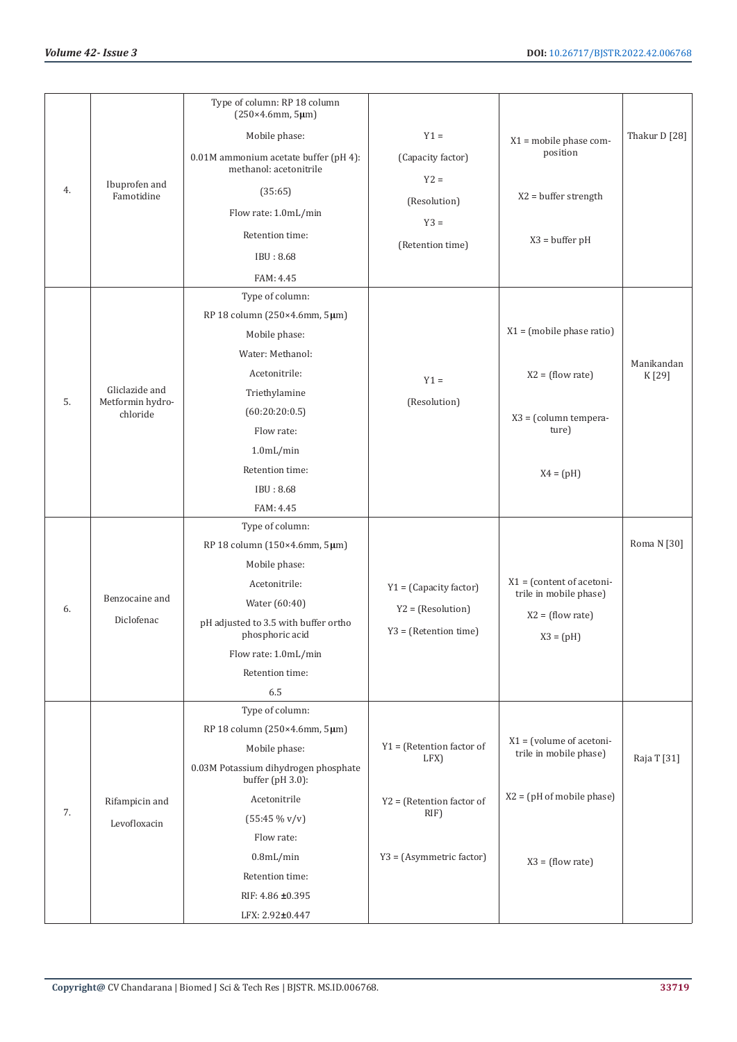|    |                             | Type of column: RP 18 column<br>(250×4.6mm, 5µm)                |                                     |                                   |               |
|----|-----------------------------|-----------------------------------------------------------------|-------------------------------------|-----------------------------------|---------------|
|    |                             | Mobile phase:                                                   | $Y1 =$                              | $X1 = \text{mobile phase com-}$   | Thakur D [28] |
|    |                             | 0.01M ammonium acetate buffer (pH 4):<br>methanol: acetonitrile | (Capacity factor)                   | position                          |               |
| 4. | Ibuprofen and<br>Famotidine | (35:65)                                                         | $Y2 =$                              | $X2 = buffer$ strength            |               |
|    |                             | Flow rate: 1.0mL/min                                            | (Resolution)                        |                                   |               |
|    |                             | Retention time:                                                 | $Y3 =$                              |                                   |               |
|    |                             | IBU: 8.68                                                       | (Retention time)                    | $X3 = buffer pH$                  |               |
|    |                             |                                                                 |                                     |                                   |               |
|    |                             | FAM: 4.45<br>Type of column:                                    |                                     |                                   |               |
|    |                             | RP 18 column (250×4.6mm, 5µm)                                   |                                     |                                   |               |
|    |                             | Mobile phase:                                                   |                                     | $X1 = (mobile phase ratio)$       |               |
|    |                             | Water: Methanol:                                                |                                     |                                   |               |
|    |                             | Acetonitrile:                                                   |                                     |                                   | Manikandan    |
|    | Gliclazide and              | Triethylamine                                                   | $Y1 =$                              | $X2 = (flow rate)$                | K [29]        |
| 5. | Metformin hydro-            | (60:20:20:0.5)                                                  | (Resolution)                        |                                   |               |
|    | chloride                    | Flow rate:                                                      |                                     | X3 = (column tempera-<br>ture)    |               |
|    |                             | 1.0mL/min                                                       |                                     |                                   |               |
|    |                             | Retention time:                                                 |                                     |                                   |               |
|    |                             | IBU: 8.68                                                       |                                     | $X4 = (pH)$                       |               |
|    |                             | FAM: 4.45                                                       |                                     |                                   |               |
|    |                             | Type of column:                                                 |                                     |                                   |               |
|    |                             | RP 18 column (150×4.6mm, 5µm)                                   |                                     |                                   | Roma N [30]   |
|    |                             | Mobile phase:                                                   |                                     |                                   |               |
|    |                             | Acetonitrile:                                                   | $Y1 = (Capacity factor)$            | $X1 = (content of acceleration -$ |               |
|    | Benzocaine and              | Water (60:40)                                                   |                                     | trile in mobile phase)            |               |
| 6. | Diclofenac                  | pH adjusted to 3.5 with buffer ortho                            | $Y2 = (Resolution)$                 | $X2 = (flow rate)$                |               |
|    |                             | phosphoric acid                                                 | $Y3 = (Retention time)$             | $X3 = (pH)$                       |               |
|    |                             | Flow rate: 1.0mL/min                                            |                                     |                                   |               |
|    |                             | Retention time:                                                 |                                     |                                   |               |
|    |                             | 6.5                                                             |                                     |                                   |               |
|    |                             | Type of column:                                                 |                                     |                                   |               |
|    |                             | RP 18 column (250×4.6mm, 5µm)                                   |                                     | $X1 = (volume of accelo$          |               |
|    |                             | Mobile phase:                                                   | $Y1 = (Retention factor of$<br>LFX) | trile in mobile phase)            | Raja T [31]   |
|    |                             | 0.03M Potassium dihydrogen phosphate<br>buffer (pH 3.0):        |                                     |                                   |               |
|    | Rifampicin and              | Acetonitrile                                                    | $Y2 = (Retention factor of$         | $X2 = (pH of mobile phase)$       |               |
| 7. | Levofloxacin                | $(55:45\% \text{ v/v})$                                         | RIF)                                |                                   |               |
|    |                             | Flow rate:                                                      |                                     |                                   |               |
|    |                             | $0.8$ mL/min                                                    | Y3 = (Asymmetric factor)            | $X3 = (flow rate)$                |               |
|    |                             | Retention time:                                                 |                                     |                                   |               |
|    |                             | RIF: 4.86 ±0.395                                                |                                     |                                   |               |
|    |                             | LFX: 2.92±0.447                                                 |                                     |                                   |               |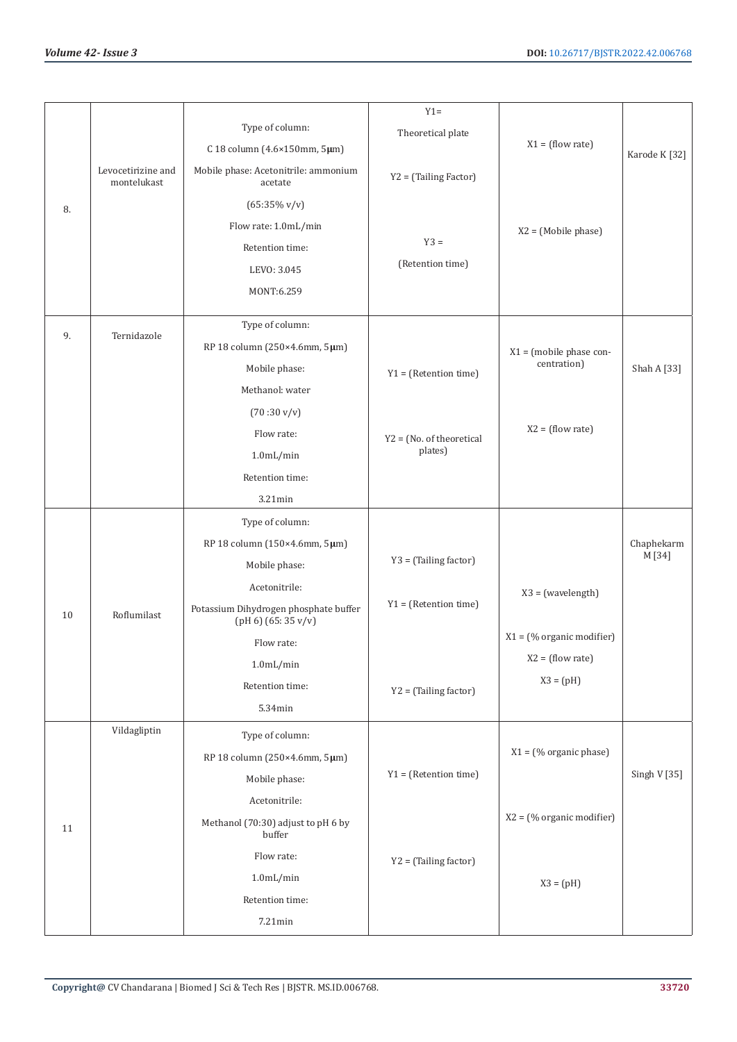|    |                                   |                                                                | $Y1 =$                     |                             |               |
|----|-----------------------------------|----------------------------------------------------------------|----------------------------|-----------------------------|---------------|
|    |                                   | Type of column:                                                | Theoretical plate          |                             |               |
|    |                                   | C 18 column (4.6×150mm, 5µm)                                   |                            | $X1 = (flow rate)$          | Karode K [32] |
|    | Levocetirizine and<br>montelukast | Mobile phase: Acetonitrile: ammonium<br>acetate                | Y2 = (Tailing Factor)      |                             |               |
| 8. |                                   | $(65:35\% \text{ v/v})$                                        |                            |                             |               |
|    |                                   | Flow rate: 1.0mL/min                                           |                            | $X2 = (Mobile phase)$       |               |
|    |                                   | Retention time:                                                | $Y3 =$                     |                             |               |
|    |                                   | LEVO: 3.045                                                    | (Retention time)           |                             |               |
|    |                                   | MONT:6.259                                                     |                            |                             |               |
|    |                                   |                                                                |                            |                             |               |
| 9. | Ternidazole                       | Type of column:                                                |                            |                             |               |
|    |                                   | RP 18 column (250×4.6mm, 5µm)                                  |                            | $X1 = (mobile phase con-$   |               |
|    |                                   | Mobile phase:                                                  | $Y1 = (Retention time)$    | centration)                 | Shah A [33]   |
|    |                                   | Methanol: water                                                |                            |                             |               |
|    |                                   | $(70:30 \text{ v/v})$                                          |                            |                             |               |
|    |                                   | Flow rate:                                                     | $Y2 = (No. of theoretical$ | $X2 = (flow rate)$          |               |
|    |                                   | 1.0mL/min                                                      | plates)                    |                             |               |
|    |                                   | Retention time:                                                |                            |                             |               |
|    |                                   | 3.21min                                                        |                            |                             |               |
|    |                                   | Type of column:                                                |                            |                             |               |
|    |                                   | RP 18 column (150×4.6mm, 5µm)                                  |                            |                             | Chaphekarm    |
|    |                                   | Mobile phase:                                                  | Y3 = (Tailing factor)      |                             | M [34]        |
|    |                                   | Acetonitrile:                                                  |                            | $X3 = (wavelength)$         |               |
| 10 | Roflumilast                       | Potassium Dihydrogen phosphate buffer<br>$(pH 6)$ (65: 35 v/v) | $Y1 = (Retention time)$    |                             |               |
|    |                                   | Flow rate:                                                     |                            | $X1 =$ (% organic modifier) |               |
|    |                                   | $1.0$ mL/min                                                   |                            | $X2 = (flow rate)$          |               |
|    |                                   | Retention time:                                                | Y2 = (Tailing factor)      | $X3 = (pH)$                 |               |
|    |                                   | 5.34min                                                        |                            |                             |               |
|    | Vildagliptin                      | Type of column:                                                |                            |                             |               |
|    |                                   | RP 18 column (250×4.6mm, 5µm)                                  |                            | $X1 = (% organic phase)$    |               |
|    |                                   | Mobile phase:                                                  | $Y1 = (Retention time)$    |                             | Singh V [35]  |
|    |                                   | Acetonitrile:                                                  |                            |                             |               |
| 11 |                                   | Methanol (70:30) adjust to pH 6 by<br>buffer                   |                            | $X2 = (% organic modifier)$ |               |
|    |                                   | Flow rate:                                                     | Y2 = (Tailing factor)      |                             |               |
|    |                                   | $1.0$ mL/min                                                   |                            | $X3 = (pH)$                 |               |
|    |                                   | Retention time:                                                |                            |                             |               |
|    |                                   | $7.21$ min                                                     |                            |                             |               |
|    |                                   |                                                                |                            |                             |               |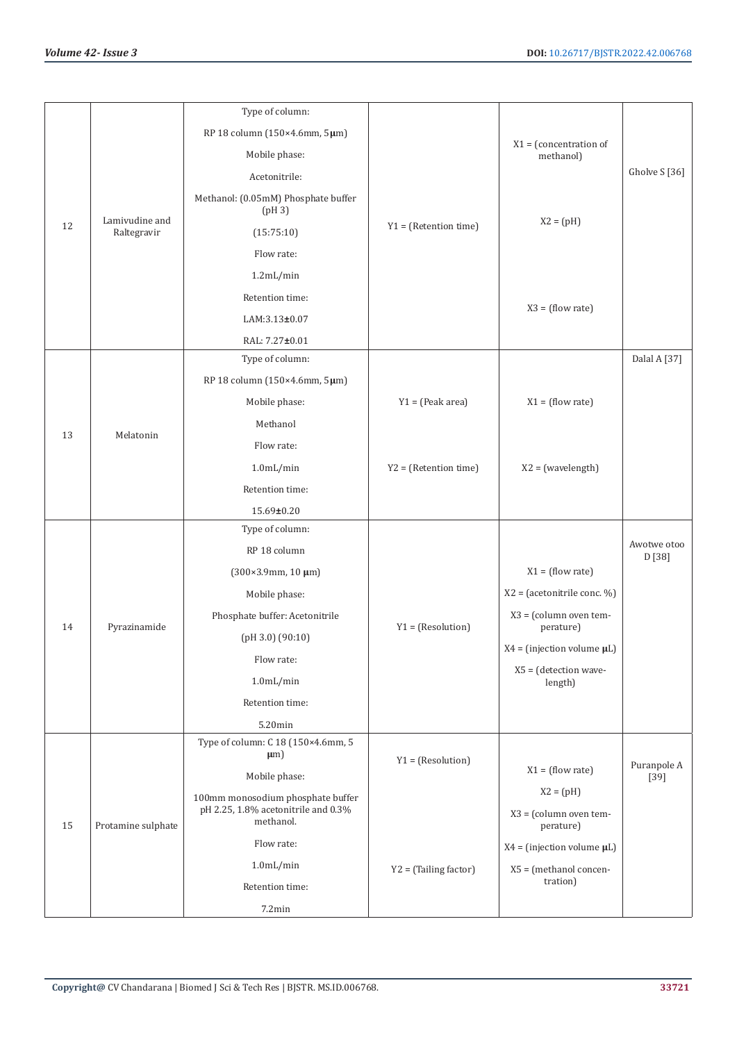|    |                    | Type of column:                                  |                         |                                       |                       |
|----|--------------------|--------------------------------------------------|-------------------------|---------------------------------------|-----------------------|
|    |                    | RP 18 column (150×4.6mm, 5µm)                    |                         |                                       |                       |
|    |                    | Mobile phase:                                    |                         | $X1 = (concentration of$<br>methanol) |                       |
|    |                    | Acetonitrile:                                    |                         |                                       | Gholve S [36]         |
|    | Lamivudine and     | Methanol: (0.05mM) Phosphate buffer<br>(pH3)     |                         |                                       |                       |
| 12 | Raltegravir        | (15:75:10)                                       | $Y1 = (Retention time)$ | $X2 = (pH)$                           |                       |
|    |                    | Flow rate:                                       |                         |                                       |                       |
|    |                    | 1.2mL/min                                        |                         |                                       |                       |
|    |                    | Retention time:                                  |                         |                                       |                       |
|    |                    | LAM:3.13±0.07                                    |                         | $X3 = (flow rate)$                    |                       |
|    |                    | RAL: 7.27±0.01                                   |                         |                                       |                       |
|    |                    | Type of column:                                  |                         |                                       | Dalal A [37]          |
|    |                    | RP 18 column (150×4.6mm, 5µm)                    |                         |                                       |                       |
|    |                    | Mobile phase:                                    | $Y1 = (Peak area)$      | $X1 = (flow rate)$                    |                       |
| 13 | Melatonin          | Methanol                                         |                         |                                       |                       |
|    |                    | Flow rate:                                       |                         |                                       |                       |
|    |                    | $1.0$ mL/min                                     | $Y2 = (Retention time)$ | $X2 = (wavelength)$                   |                       |
|    |                    | Retention time:                                  |                         |                                       |                       |
|    |                    | 15.69±0.20                                       |                         |                                       |                       |
|    |                    | Type of column:                                  |                         |                                       |                       |
|    |                    | RP 18 column                                     |                         |                                       | Awotwe otoo<br>D [38] |
|    |                    | $(300 \times 3.9$ mm, 10 µm)                     |                         | $X1 = (flow rate)$                    |                       |
|    |                    | Mobile phase:                                    |                         | $X2 = (acetonitrile conc. %)$         |                       |
| 14 | Pyrazinamide       | Phosphate buffer: Acetonitrile                   | $Y1 = (Resolution)$     | X3 = (column oven tem-<br>perature)   |                       |
|    |                    | (pH 3.0) (90:10)                                 |                         | X4 = (injection volume $\mu L$ )      |                       |
|    |                    | Flow rate:                                       |                         | X5 = (detection wave-                 |                       |
|    |                    | $1.0$ mL/min                                     |                         | length)                               |                       |
|    |                    | Retention time:                                  |                         |                                       |                       |
|    |                    | 5.20min                                          |                         |                                       |                       |
|    |                    | Type of column: C 18 (150×4.6mm, 5<br>$\mu$ m)   |                         |                                       |                       |
|    |                    | Mobile phase:                                    | $Y1 = (Resolution)$     | $X1 = (flow rate)$                    | Puranpole A<br>$[39]$ |
|    |                    | 100mm monosodium phosphate buffer                |                         | $X2 = (pH)$                           |                       |
|    |                    | pH 2.25, 1.8% acetonitrile and 0.3%<br>methanol. |                         | X3 = (column oven tem-                |                       |
| 15 | Protamine sulphate |                                                  |                         | perature)                             |                       |
|    |                    | Flow rate:                                       |                         | $X4 = (injection volume \mu L)$       |                       |
|    |                    | $1.0$ m $L/min$                                  | Y2 = (Tailing factor)   | X5 = (methanol concen-<br>tration)    |                       |
|    |                    | Retention time:                                  |                         |                                       |                       |
|    |                    | 7.2min                                           |                         |                                       |                       |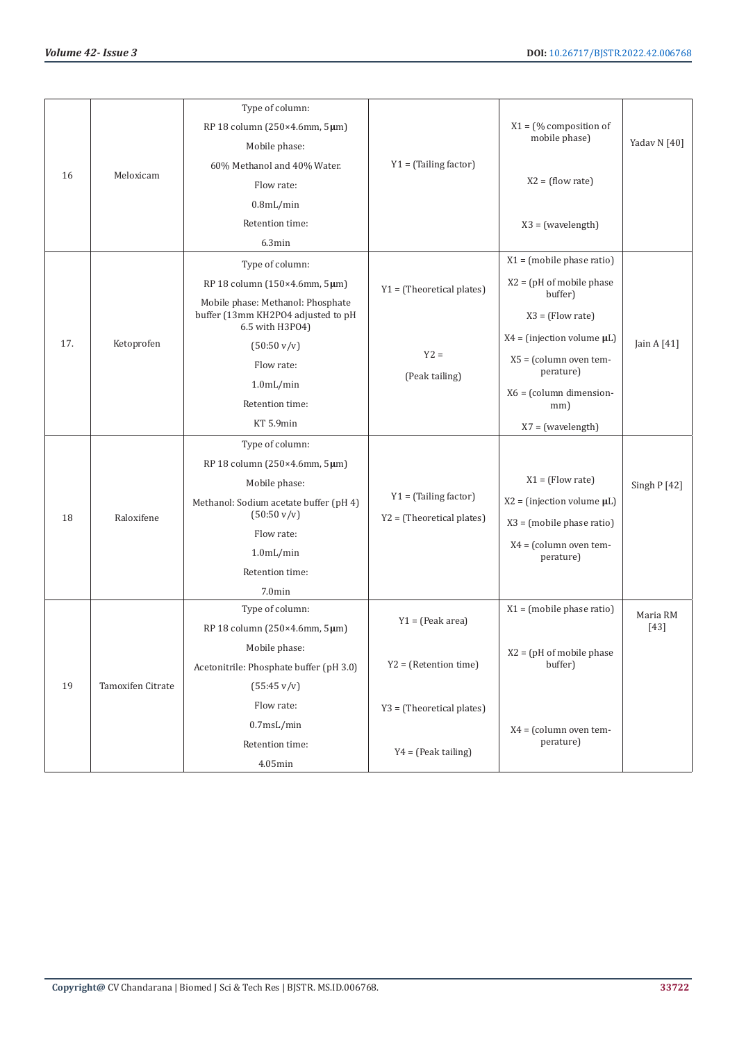|     |                   | Type of column:                                                         |                                                        |                                                                                                                                                      |              |
|-----|-------------------|-------------------------------------------------------------------------|--------------------------------------------------------|------------------------------------------------------------------------------------------------------------------------------------------------------|--------------|
|     |                   | RP 18 column (250×4.6mm, 5µm)                                           |                                                        | $X1 =$ (% composition of                                                                                                                             |              |
|     |                   | Mobile phase:                                                           |                                                        | mobile phase)                                                                                                                                        | Yadav N [40] |
| 16  | Meloxicam         | 60% Methanol and 40% Water.                                             | $Y1 = (Tailing factor)$                                |                                                                                                                                                      |              |
|     |                   | Flow rate:                                                              |                                                        | $X2 = (flow rate)$                                                                                                                                   |              |
|     |                   | $0.8$ mL/min                                                            |                                                        |                                                                                                                                                      |              |
|     |                   | Retention time:                                                         |                                                        | $X3 = (wavelength)$                                                                                                                                  |              |
|     |                   | 6.3min                                                                  |                                                        |                                                                                                                                                      |              |
|     |                   | Type of column:                                                         |                                                        | $X1 = (mobile phase ratio)$                                                                                                                          |              |
|     |                   | RP 18 column $(150 \times 4.6$ mm, $5 \mu$ m)                           | $Y1 = (Theoretical plates)$                            | $X2 = (pH of mobile phase)$<br>buffer)                                                                                                               |              |
|     |                   | Mobile phase: Methanol: Phosphate<br>buffer (13mm KH2PO4 adjusted to pH |                                                        |                                                                                                                                                      |              |
|     |                   | 6.5 with H3P04)                                                         |                                                        | $X3 = (Flow rate)$                                                                                                                                   |              |
| 17. | Ketoprofen        | $(50:50 \text{ v/v})$                                                   | $Y2 =$                                                 | $X4 = (injection volume \mu L)$                                                                                                                      | Jain A [41]  |
|     |                   | Flow rate:                                                              | (Peak tailing)                                         | $X5 = (column over tem-$<br>perature)                                                                                                                |              |
|     |                   | 1.0mL/min                                                               |                                                        |                                                                                                                                                      |              |
|     |                   | Retention time:                                                         |                                                        | mm)                                                                                                                                                  |              |
|     |                   | KT 5.9min                                                               |                                                        | $X7 = (wavelength)$                                                                                                                                  |              |
|     |                   | Type of column:                                                         |                                                        |                                                                                                                                                      |              |
|     |                   | RP 18 column (250×4.6mm, 5µm)                                           |                                                        |                                                                                                                                                      |              |
|     |                   | Mobile phase:                                                           |                                                        |                                                                                                                                                      | Singh P [42] |
| 18  | Raloxifene        | Methanol: Sodium acetate buffer (pH 4)<br>$(50:50 \text{ v/v})$         | $Y1 = (Tailing factor)$<br>$Y2 = (Theoretical plates)$ | $X2 = (injection volume \mu L)$                                                                                                                      |              |
|     |                   | Flow rate:                                                              |                                                        |                                                                                                                                                      |              |
|     |                   | 1.0mL/min                                                               |                                                        |                                                                                                                                                      |              |
|     |                   | Retention time:                                                         |                                                        |                                                                                                                                                      |              |
|     |                   | $7.0$ min                                                               |                                                        | $X6 = (column dimension-$<br>$X1 = (Flow rate)$<br>X3 = (mobile phase ratio)<br>$X4 = (column over tem-$<br>perature)<br>$X1 = (mobile phase ratio)$ |              |
|     |                   | Type of column:                                                         |                                                        |                                                                                                                                                      | Maria RM     |
|     |                   | RP 18 column (250×4.6mm, 5µm)                                           | $Y1 = (Peak area)$                                     |                                                                                                                                                      | $[43]$       |
|     |                   | Mobile phase:                                                           |                                                        | $X2 = (pH of mobile phase)$                                                                                                                          |              |
|     |                   | Acetonitrile: Phosphate buffer (pH 3.0)                                 | $Y2 = (Retention time)$                                | buffer)                                                                                                                                              |              |
| 19  | Tamoxifen Citrate | $(55:45 \text{ v/v})$                                                   |                                                        |                                                                                                                                                      |              |
|     |                   | Flow rate:                                                              | Y3 = (Theoretical plates)                              |                                                                                                                                                      |              |
|     |                   | 0.7msL/min                                                              |                                                        | $X4 = (column over tem-$                                                                                                                             |              |
|     |                   | Retention time:                                                         | $Y4 = (Peak tailing)$                                  | perature)                                                                                                                                            |              |
|     |                   | 4.05min                                                                 |                                                        |                                                                                                                                                      |              |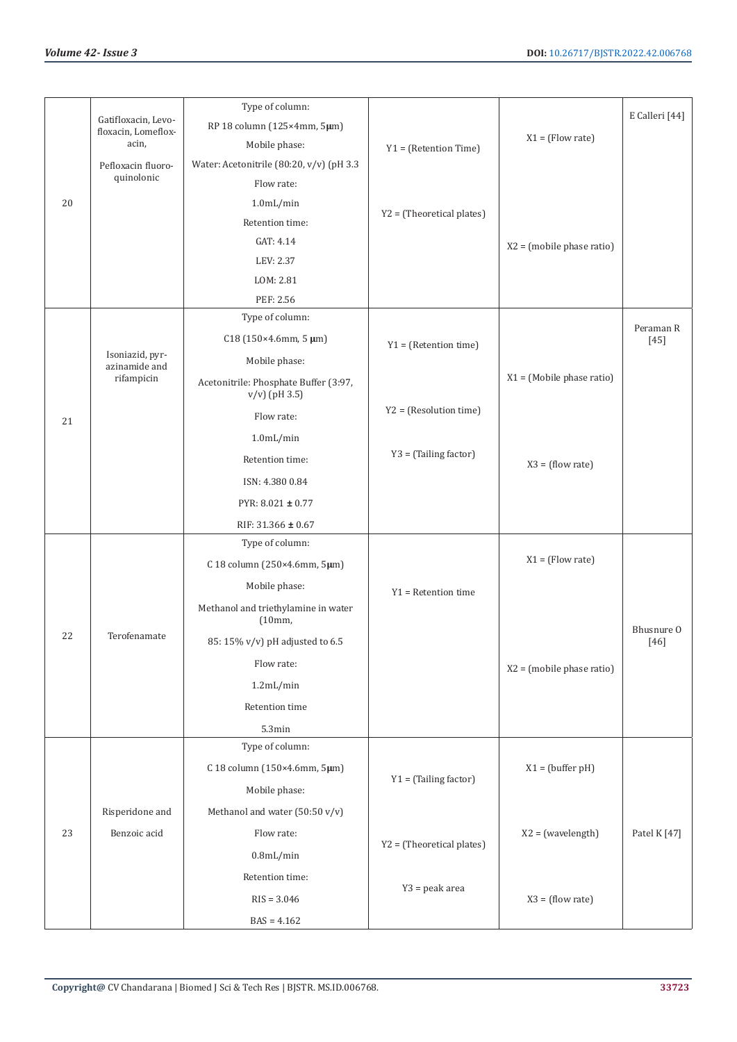|    | Gatifloxacin, Levo-              | Type of column:                                           |                           |                             | E Calleri [44]     |
|----|----------------------------------|-----------------------------------------------------------|---------------------------|-----------------------------|--------------------|
|    | floxacin, Lomeflox-              | RP 18 column (125×4mm, 5µm)                               |                           | $X1 = (Flow rate)$          |                    |
|    | acin,                            | Mobile phase:                                             | $Y1 = (Retention Time)$   |                             |                    |
|    | Pefloxacin fluoro-<br>quinolonic | Water: Acetonitrile (80:20, v/v) (pH 3.3                  |                           |                             |                    |
|    |                                  | Flow rate:                                                |                           |                             |                    |
| 20 |                                  | $1.0$ m $L/min$                                           | Y2 = (Theoretical plates) |                             |                    |
|    |                                  | Retention time:                                           |                           |                             |                    |
|    |                                  | GAT: 4.14                                                 |                           | $X2 = (mobile phase ratio)$ |                    |
|    |                                  | LEV: 2.37                                                 |                           |                             |                    |
|    |                                  | LOM: 2.81<br>PEF: 2.56                                    |                           |                             |                    |
|    |                                  | Type of column:                                           |                           |                             |                    |
|    |                                  | $C18(150×4.6mm, 5 \mu m)$                                 |                           |                             | Peraman R          |
|    | Isoniazid, pyr-                  |                                                           | $Y1 = (Retention time)$   |                             | $[45]$             |
|    | azinamide and<br>rifampicin      | Mobile phase:                                             |                           | $X1 = (Mobile phase ratio)$ |                    |
|    |                                  | Acetonitrile: Phosphate Buffer (3:97,<br>$v/v$ ) (pH 3.5) |                           |                             |                    |
| 21 |                                  | Flow rate:                                                | $Y2 = (Resolution time)$  |                             |                    |
|    |                                  | 1.0 <sub>mL/min</sub>                                     |                           |                             |                    |
|    |                                  | Retention time:                                           | $Y3 = (Tailing factor)$   | $X3 = (flow rate)$          |                    |
|    |                                  | ISN: 4.380 0.84                                           |                           |                             |                    |
|    |                                  | PYR: $8.021 \pm 0.77$                                     |                           |                             |                    |
|    |                                  | RIF: 31.366 ± 0.67                                        |                           |                             |                    |
|    |                                  | Type of column:                                           |                           |                             |                    |
|    |                                  | C 18 column (250×4.6mm, 5µm)                              |                           | $X1 = (Flow rate)$          |                    |
|    |                                  | Mobile phase:                                             | $Y1 =$ Retention time     |                             |                    |
|    |                                  | Methanol and triethylamine in water<br>(10mm,             |                           |                             |                    |
| 22 | Terofenamate                     | 85: 15% v/v) pH adjusted to 6.5                           |                           |                             | Bhusnure O<br>[46] |
|    |                                  | Flow rate:                                                |                           | $X2 = (mobile phase ratio)$ |                    |
|    |                                  | 1.2mL/min                                                 |                           |                             |                    |
|    |                                  | Retention time                                            |                           |                             |                    |
|    |                                  | 5.3min                                                    |                           |                             |                    |
|    |                                  | Type of column:                                           |                           |                             |                    |
|    |                                  | C 18 column (150×4.6mm, 5µm)                              |                           | $X1 = (buffer pH)$          |                    |
|    |                                  | Mobile phase:                                             | $Y1 = (Tailing factor)$   |                             |                    |
|    | Risperidone and                  | Methanol and water (50:50 v/v)                            |                           |                             |                    |
| 23 | Benzoic acid                     | Flow rate:                                                |                           |                             |                    |
|    |                                  |                                                           | Y2 = (Theoretical plates) | $X2 = (wavelength)$         | Patel K [47]       |
|    |                                  | $0.8$ mL/min                                              |                           |                             |                    |
|    |                                  | Retention time:                                           | Y3 = peak area            |                             |                    |
|    |                                  | $RIS = 3.046$                                             |                           | $X3 = (flow rate)$          |                    |
|    |                                  | $BAS = 4.162$                                             |                           |                             |                    |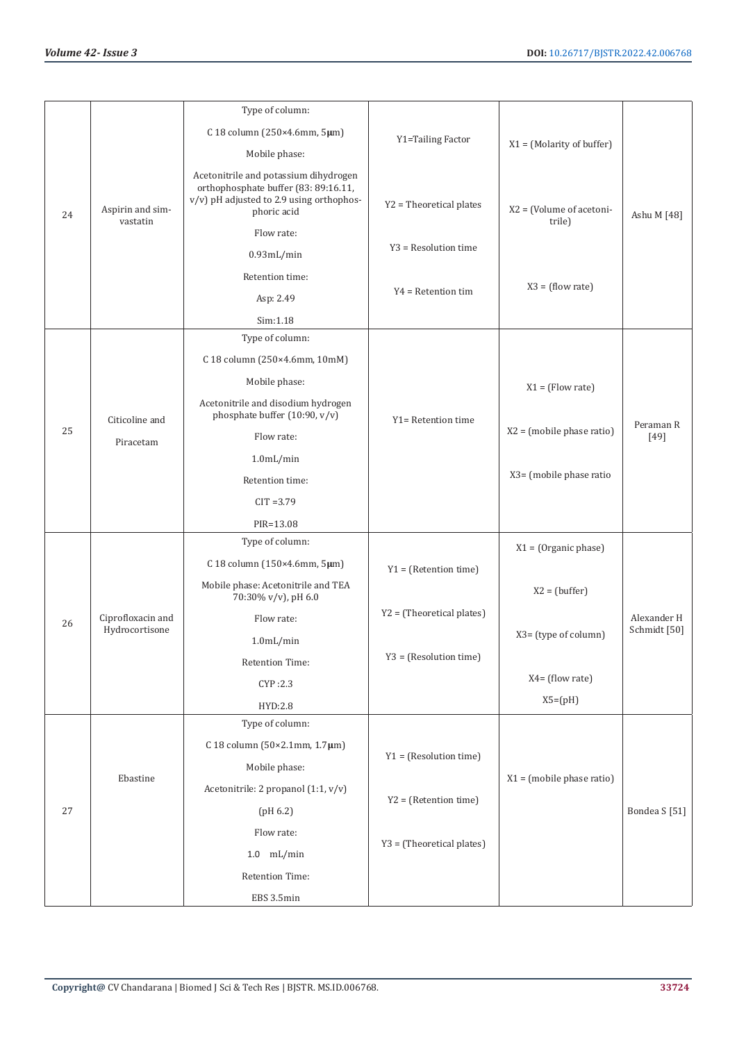|    |                              | Type of column:                                                                                                                          |                             |                                     |                     |
|----|------------------------------|------------------------------------------------------------------------------------------------------------------------------------------|-----------------------------|-------------------------------------|---------------------|
|    |                              | C 18 column (250×4.6mm, 5µm)                                                                                                             | Y1=Tailing Factor           | $X1 = (Molarity of buffer)$         |                     |
|    |                              | Mobile phase:                                                                                                                            |                             |                                     |                     |
| 24 | Aspirin and sim-<br>vastatin | Acetonitrile and potassium dihydrogen<br>orthophosphate buffer (83: 89:16.11,<br>v/v) pH adjusted to 2.9 using orthophos-<br>phoric acid | Y2 = Theoretical plates     | $X2 = (Volume of action)$<br>trile) | Ashu M [48]         |
|    |                              | Flow rate:                                                                                                                               |                             |                                     |                     |
|    |                              | $0.93$ mL/min                                                                                                                            | Y3 = Resolution time        |                                     |                     |
|    |                              | Retention time:                                                                                                                          |                             |                                     |                     |
|    |                              | Asp: 2.49                                                                                                                                | $Y4 = Retention tim$        | $X3 = (flow rate)$                  |                     |
|    |                              | Sim:1.18                                                                                                                                 |                             |                                     |                     |
|    |                              | Type of column:                                                                                                                          |                             |                                     |                     |
|    |                              | C 18 column (250×4.6mm, 10mM)                                                                                                            |                             |                                     |                     |
|    |                              | Mobile phase:                                                                                                                            |                             | $X1 = (Flow rate)$                  |                     |
|    | Citicoline and               | Acetonitrile and disodium hydrogen<br>phosphate buffer (10:90, v/v)                                                                      | Y1= Retention time          |                                     |                     |
| 25 | Piracetam                    | Flow rate:                                                                                                                               |                             | $X2 = (mobile phase ratio)$         | Peraman R<br>$[49]$ |
|    |                              | $1.0$ m $L/min$                                                                                                                          |                             |                                     |                     |
|    |                              | Retention time:                                                                                                                          |                             | X3= (mobile phase ratio             |                     |
|    |                              | $CIT = 3.79$                                                                                                                             |                             |                                     |                     |
|    |                              | PIR=13.08                                                                                                                                |                             |                                     |                     |
|    |                              | Type of column:                                                                                                                          |                             | $X1 = (Organic phase)$              |                     |
|    |                              | C 18 column (150×4.6mm, 5µm)                                                                                                             | $Y1 = (Retention time)$     |                                     |                     |
|    |                              | Mobile phase: Acetonitrile and TEA<br>70:30% v/v), pH 6.0                                                                                |                             | $X2 = (buffer)$                     |                     |
| 26 | Ciprofloxacin and            | Flow rate:                                                                                                                               | $Y2 = (Theoretical plates)$ |                                     | Alexander H         |
|    | Hydrocortisone               | $1.0$ mL/min                                                                                                                             |                             | X3= (type of column)                | Schmidt [50]        |
|    |                              | Retention Time:                                                                                                                          | Y3 = (Resolution time)      |                                     |                     |
|    |                              | CYP:2.3                                                                                                                                  |                             | $X4 = (flow rate)$                  |                     |
|    |                              | HYD:2.8                                                                                                                                  |                             | $X5=(pH)$                           |                     |
|    |                              | Type of column:                                                                                                                          |                             |                                     |                     |
|    |                              | C 18 column ( $50 \times 2.1$ mm, $1.7 \mu$ m)                                                                                           |                             |                                     |                     |
|    |                              | Mobile phase:                                                                                                                            | $Y1 = (Resolution time)$    |                                     |                     |
|    | Ebastine                     | Acetonitrile: 2 propanol (1:1, v/v)                                                                                                      |                             | $X1 = (mobile phase ratio)$         |                     |
| 27 |                              | (pH 6.2)                                                                                                                                 | $Y2 = (Retention time)$     |                                     | Bondea S [51]       |
|    |                              | Flow rate:                                                                                                                               |                             |                                     |                     |
|    |                              | $1.0$ mL/min                                                                                                                             | Y3 = (Theoretical plates)   |                                     |                     |
|    |                              | Retention Time:                                                                                                                          |                             |                                     |                     |
|    |                              | EBS 3.5min                                                                                                                               |                             |                                     |                     |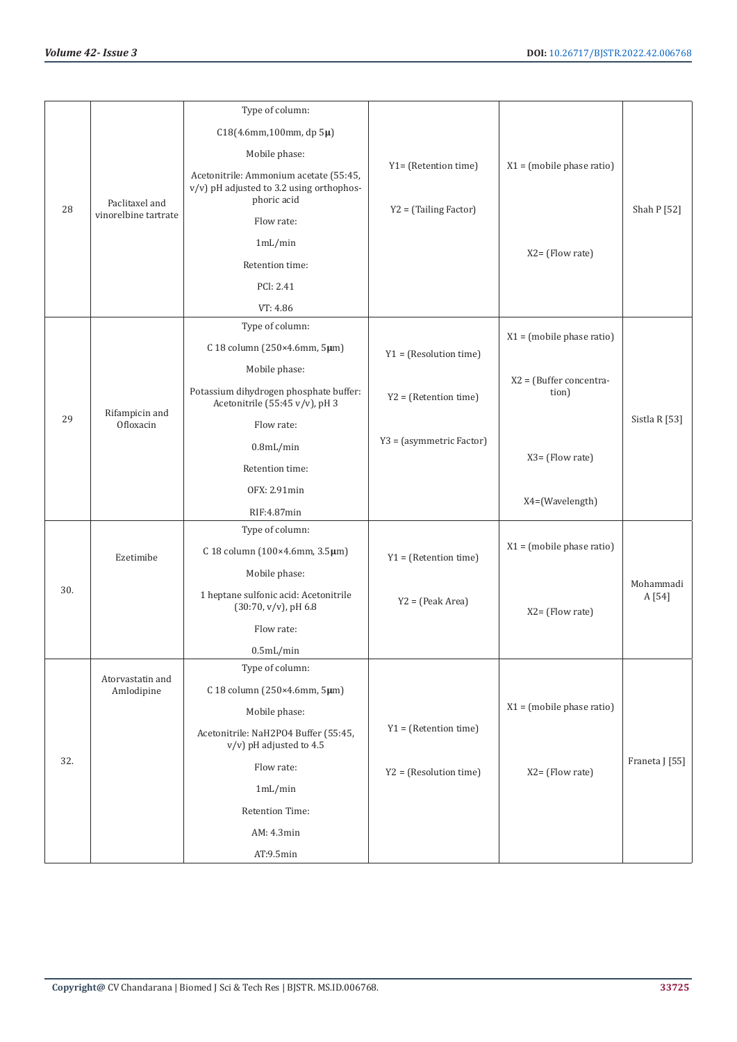|     |                      | Type of column:                                                                                   |                          |                                  |                |
|-----|----------------------|---------------------------------------------------------------------------------------------------|--------------------------|----------------------------------|----------------|
|     |                      | C18(4.6mm,100mm, dp 5µ)                                                                           |                          |                                  |                |
|     |                      | Mobile phase:                                                                                     |                          |                                  |                |
|     | Paclitaxel and       | Acetonitrile: Ammonium acetate (55:45,<br>v/v) pH adjusted to 3.2 using orthophos-<br>phoric acid | Y1= (Retention time)     | $X1 = (mobile phase ratio)$      |                |
| 28  | vinorelbine tartrate | Flow rate:                                                                                        | Y2 = (Tailing Factor)    |                                  | Shah P [52]    |
|     |                      | 1mL/min                                                                                           |                          |                                  |                |
|     |                      | Retention time:                                                                                   |                          | $X2 = (Flow rate)$               |                |
|     |                      | PCI: 2.41                                                                                         |                          |                                  |                |
|     |                      | VT: 4.86                                                                                          |                          |                                  |                |
|     |                      | Type of column:                                                                                   |                          |                                  |                |
|     |                      | C 18 column (250×4.6mm, 5µm)                                                                      | $Y1 = (Resolution time)$ | $X1 = (mobile phase ratio)$      |                |
|     |                      | Mobile phase:                                                                                     |                          |                                  |                |
|     | Rifampicin and       | Potassium dihydrogen phosphate buffer:<br>Acetonitrile (55:45 v/v), pH 3                          | $Y2 = (Retention time)$  | X2 = (Buffer concentra-<br>tion) |                |
| 29  | Ofloxacin            | Flow rate:                                                                                        |                          |                                  | Sistla R [53]  |
|     |                      | $0.8$ mL/min                                                                                      | Y3 = (asymmetric Factor) |                                  |                |
|     |                      | Retention time:                                                                                   |                          | X3= (Flow rate)                  |                |
|     |                      | OFX: 2.91min                                                                                      |                          |                                  |                |
|     |                      | RIF:4.87min                                                                                       |                          | X4=(Wavelength)                  |                |
|     |                      | Type of column:                                                                                   |                          |                                  |                |
|     | Ezetimibe            | C 18 column (100×4.6mm, 3.5µm)                                                                    | $Y1 = (Retention time)$  | $X1 = (mobile phase ratio)$      |                |
|     |                      | Mobile phase:                                                                                     |                          |                                  | Mohammadi      |
| 30. |                      | 1 heptane sulfonic acid: Acetonitrile<br>$(30:70, v/v)$ , pH 6.8                                  | $Y2 = (Peak Area)$       | $X2 = (Flow rate)$               | A [54]         |
|     |                      | Flow rate:                                                                                        |                          |                                  |                |
|     |                      | $0.5$ mL/min                                                                                      |                          |                                  |                |
|     | Atorvastatin and     | Type of column:                                                                                   |                          |                                  |                |
|     | Amlodipine           | C 18 column (250×4.6mm, 5µm)                                                                      |                          |                                  |                |
|     |                      | Mobile phase:                                                                                     |                          | $X1 = (mobile phase ratio)$      |                |
|     |                      | Acetonitrile: NaH2PO4 Buffer (55:45,<br>$v/v$ ) pH adjusted to 4.5                                | $Y1 = (Retention time)$  |                                  |                |
| 32. |                      | Flow rate:                                                                                        | $YZ = (Resolution time)$ | X2= (Flow rate)                  | Franeta J [55] |
|     |                      | 1mL/min                                                                                           |                          |                                  |                |
|     |                      | Retention Time:                                                                                   |                          |                                  |                |
|     |                      | AM: 4.3min                                                                                        |                          |                                  |                |
|     |                      | AT:9.5min                                                                                         |                          |                                  |                |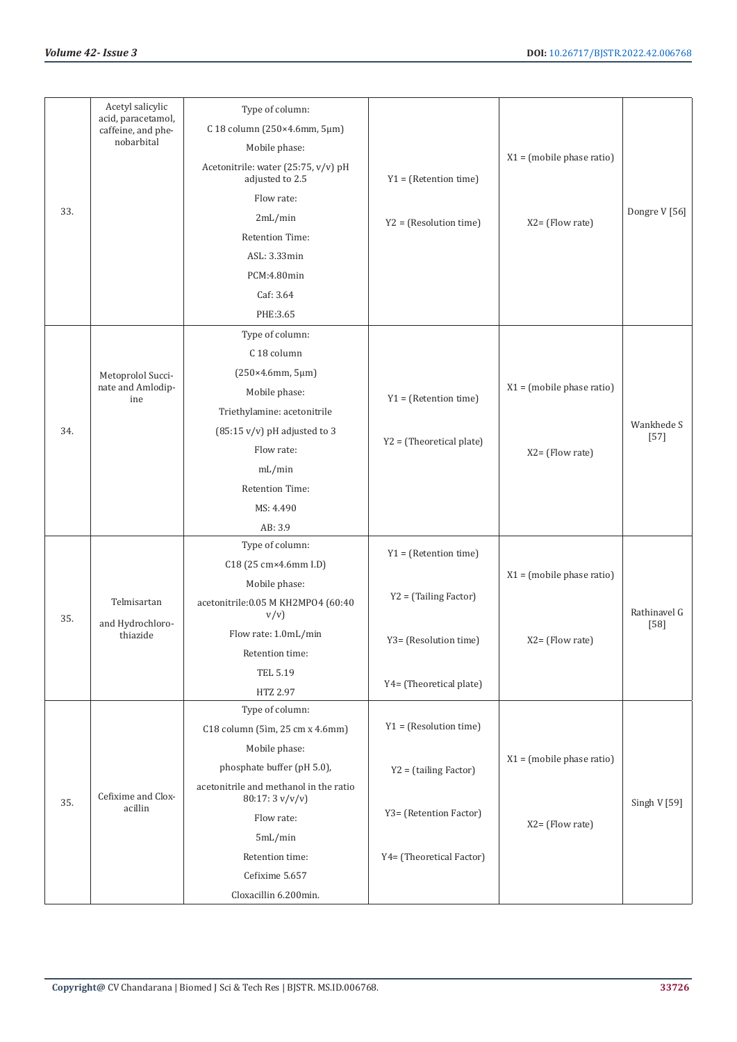|     | Acetyl salicylic<br>acid, paracetamol, | Type of column:                                          |                            |                             |               |
|-----|----------------------------------------|----------------------------------------------------------|----------------------------|-----------------------------|---------------|
|     | caffeine, and phe-<br>nobarbital       | C 18 column (250×4.6mm, 5µm)                             |                            |                             |               |
|     |                                        | Mobile phase:                                            |                            | $X1 = (mobile phase ratio)$ |               |
|     |                                        | Acetonitrile: water (25:75, v/v) pH<br>adjusted to 2.5   | $Y1 = (Retention time)$    |                             |               |
|     |                                        | Flow rate:                                               |                            |                             |               |
| 33. |                                        | 2mL/min                                                  | $Y2 = (Resolution time)$   | X2= (Flow rate)             | Dongre V [56] |
|     |                                        | Retention Time:                                          |                            |                             |               |
|     |                                        | ASL: 3.33min                                             |                            |                             |               |
|     |                                        | PCM:4.80min                                              |                            |                             |               |
|     |                                        | Caf: 3.64                                                |                            |                             |               |
|     |                                        | PHE:3.65                                                 |                            |                             |               |
|     |                                        | Type of column:                                          |                            |                             |               |
|     |                                        | C 18 column                                              |                            |                             |               |
|     | Metoprolol Succi-                      | (250×4.6mm, 5µm)                                         |                            |                             |               |
|     | nate and Amlodip-                      | Mobile phase:                                            |                            | $X1 = (mobile phase ratio)$ |               |
|     | ine                                    | Triethylamine: acetonitrile                              | $Y1 = (Retention time)$    |                             |               |
| 34. |                                        | $(85:15 \text{ v/v})$ pH adjusted to 3                   |                            |                             | Wankhede S    |
|     |                                        | Flow rate:                                               | $Y2 = (Theoretical plate)$ | X2= (Flow rate)             | $[57]$        |
|     |                                        | mL/min                                                   |                            |                             |               |
|     |                                        | <b>Retention Time:</b>                                   |                            |                             |               |
|     |                                        | MS: 4.490                                                |                            |                             |               |
|     |                                        | AB: 3.9                                                  |                            |                             |               |
|     |                                        | Type of column:                                          |                            |                             |               |
|     |                                        | C18 (25 cm×4.6mm I.D)                                    | $Y1 = (Retention time)$    |                             |               |
|     |                                        | Mobile phase:                                            |                            | $X1 = (mobile phase ratio)$ |               |
| 35. | Telmisartan                            | acetonitrile: 0.05 M KH2MP04 (60:40<br>v/v)              | Y2 = (Tailing Factor)      |                             | Rathinavel G  |
|     | and Hydrochloro-<br>thiazide           | Flow rate: 1.0mL/min                                     |                            |                             | $[58]$        |
|     |                                        | Retention time:                                          | Y3= (Resolution time)      | X2= (Flow rate)             |               |
|     |                                        | TEL 5.19                                                 |                            |                             |               |
|     |                                        | HTZ 2.97                                                 | Y4= (Theoretical plate)    |                             |               |
|     |                                        | Type of column:                                          |                            |                             |               |
|     |                                        | C18 column (5ìm, 25 cm x 4.6mm)                          | $Y1 = (Resolution time)$   |                             |               |
|     |                                        | Mobile phase:                                            |                            |                             |               |
|     |                                        | phosphate buffer (pH 5.0),                               | $Y2 = (tailing Factor)$    | $X1 = (mobile phase ratio)$ |               |
| 35. | Cefixime and Clox-                     | acetonitrile and methanol in the ratio<br>80:17:3 v/v/v) |                            |                             | Singh V [59]  |
|     | acillin                                | Flow rate:                                               | Y3= (Retention Factor)     | $X2 = (Flow rate)$          |               |
|     |                                        | 5mL/min                                                  |                            |                             |               |
|     |                                        | Retention time:                                          | Y4= (Theoretical Factor)   |                             |               |
|     |                                        | Cefixime 5.657                                           |                            |                             |               |
|     |                                        | Cloxacillin 6.200min.                                    |                            |                             |               |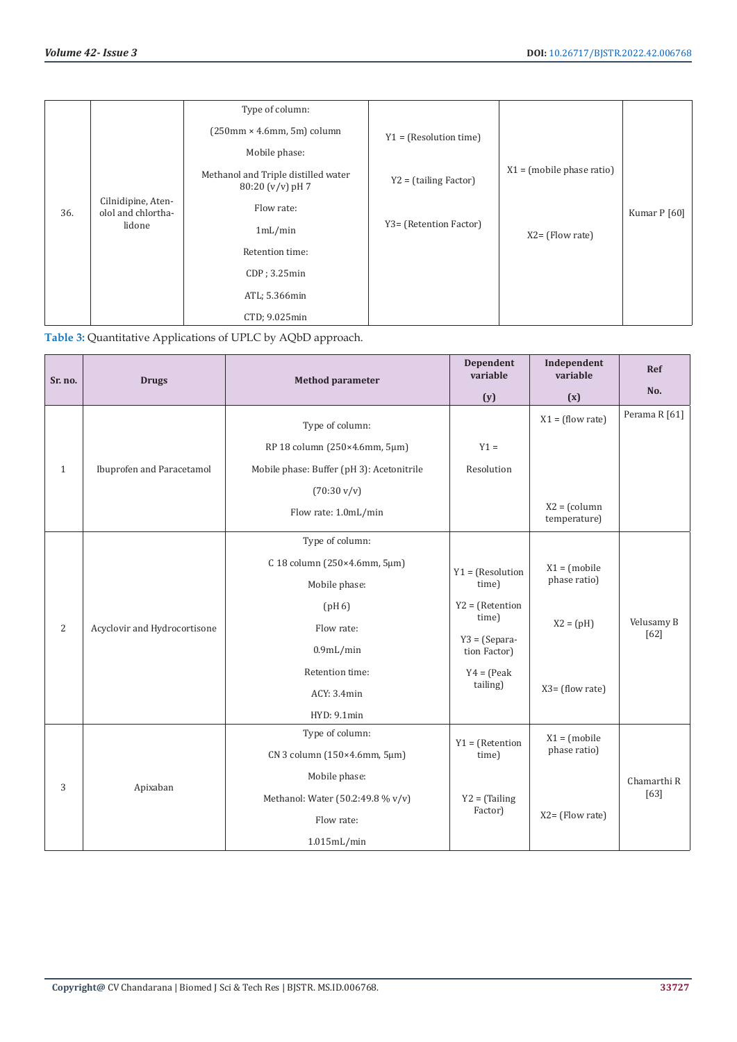|     |                                                    | Type of column:                                           |                          |                             |              |
|-----|----------------------------------------------------|-----------------------------------------------------------|--------------------------|-----------------------------|--------------|
| 36. | Cilnidipine, Aten-<br>olol and chlortha-<br>lidone | $(250 \text{mm} \times 4.6 \text{mm}, 5 \text{m})$ column | $Y1 = (Resolution time)$ |                             |              |
|     |                                                    | Mobile phase:                                             |                          |                             | Kumar P [60] |
|     |                                                    | Methanol and Triple distilled water<br>$80:20 (v/v)$ pH 7 | $Y2 = (tailing Factor)$  | $X1 = (mobile phase ratio)$ |              |
|     |                                                    | Flow rate:                                                | Y3= (Retention Factor)   |                             |              |
|     |                                                    | 1mL/min                                                   |                          | $X2 = (Flow rate)$          |              |
|     |                                                    | Retention time:                                           |                          |                             |              |
|     |                                                    | $CDP$ ; 3.25 $min$                                        |                          |                             |              |
|     |                                                    | ATL; 5.366min                                             |                          |                             |              |
|     |                                                    | CTD; 9.025min                                             |                          |                             |              |

| Table 3: Quantitative Applications of UPLC by AQbD approach. |  |  |
|--------------------------------------------------------------|--|--|
|                                                              |  |  |

| Sr. no.        | <b>Drugs</b>                 | <b>Method parameter</b>                   | Dependent<br>variable           | Independent<br>variable         | <b>Ref</b>           |
|----------------|------------------------------|-------------------------------------------|---------------------------------|---------------------------------|----------------------|
|                |                              |                                           | (y)                             | (x)                             | No.                  |
| $\mathbf{1}$   |                              | Type of column:                           |                                 | $X1 = (flow rate)$              | Perama R [61]        |
|                | Ibuprofen and Paracetamol    | RP 18 column (250×4.6mm, 5µm)             | $Y1 =$                          |                                 |                      |
|                |                              | Mobile phase: Buffer (pH 3): Acetonitrile | Resolution                      |                                 |                      |
|                |                              | $(70:30 \text{ v/v})$                     |                                 |                                 |                      |
|                |                              | Flow rate: 1.0mL/min                      |                                 | $X2 = (column)$<br>temperature) |                      |
|                |                              | Type of column:                           |                                 |                                 |                      |
|                |                              | C 18 column (250×4.6mm, 5µm)              | $Y1 = (Resolution$              | $X1 = (mobile)$                 |                      |
|                | Acyclovir and Hydrocortisone | Mobile phase:                             | time)                           | phase ratio)                    |                      |
| $\overline{2}$ |                              | (pH 6)                                    | $Y2 = (Retention$               |                                 |                      |
|                |                              | Flow rate:                                | time)                           | $X2 = (pH)$                     | Velusamy B<br>$[62]$ |
|                |                              | $0.9$ mL/min                              | $Y3 = (Separa-$<br>tion Factor) |                                 |                      |
|                |                              | Retention time:                           | $Y4 = (Peak)$                   |                                 |                      |
|                |                              | ACY: 3.4min                               | tailing)                        | $X3 = (flow rate)$              |                      |
|                |                              | HYD: 9.1min                               |                                 |                                 |                      |
|                | Apixaban                     | Type of column:                           | $Y1 = (Retention$               | $X1 = (mobile)$                 |                      |
| 3              |                              | CN 3 column (150×4.6mm, 5µm)              | time)                           | phase ratio)                    |                      |
|                |                              | Mobile phase:                             |                                 |                                 | Chamarthi R          |
|                |                              | Methanol: Water (50.2:49.8 % v/v)         | $Y2 = (Tailing)$                | $X2 = (Flow rate)$              | [63]                 |
|                |                              | Flow rate:                                | Factor)                         |                                 |                      |
|                |                              | 1.015mL/min                               |                                 |                                 |                      |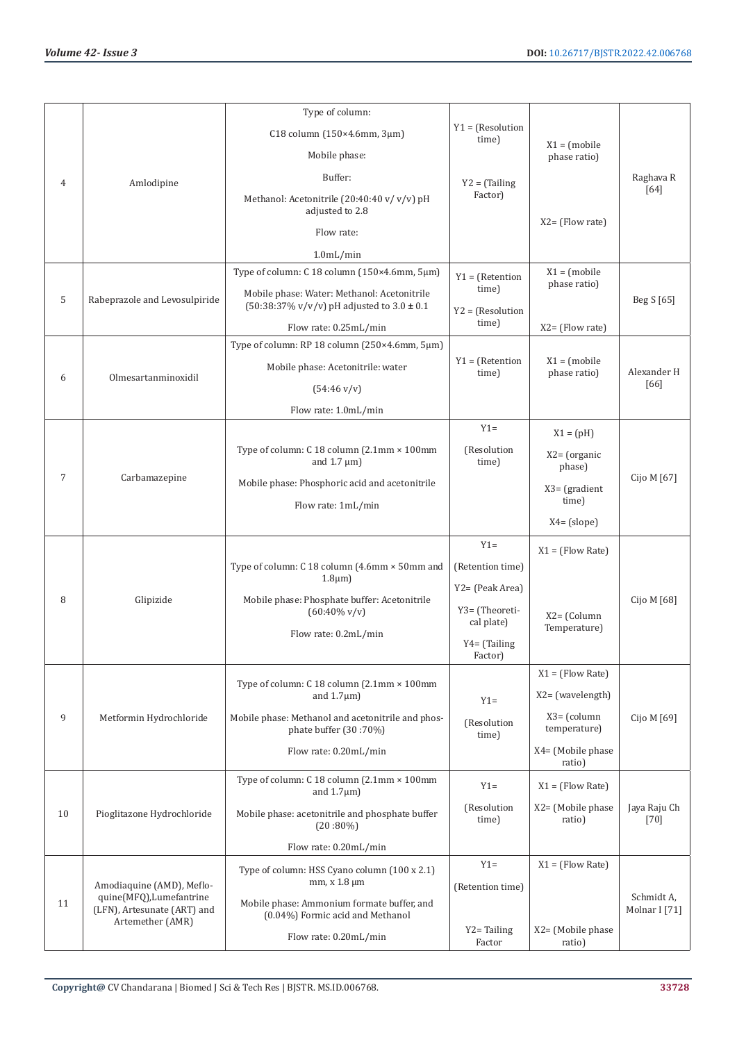|    |                                                                                                         | Type of column:                                                                                          |                              |                                 |                        |
|----|---------------------------------------------------------------------------------------------------------|----------------------------------------------------------------------------------------------------------|------------------------------|---------------------------------|------------------------|
| 4  | Amlodipine                                                                                              | C18 column (150×4.6mm, 3µm)                                                                              | $Y1 = (Resolution$<br>time)  |                                 |                        |
|    |                                                                                                         | Mobile phase:                                                                                            |                              | $X1 = (mobile)$<br>phase ratio) |                        |
|    |                                                                                                         | Buffer:                                                                                                  |                              |                                 | Raghava R              |
|    |                                                                                                         | Methanol: Acetonitrile (20:40:40 v/v/v) pH<br>adjusted to 2.8                                            | $Y2 = (Tailing)$<br>Factor)  |                                 | [64]                   |
|    |                                                                                                         | Flow rate:                                                                                               |                              | $X2 = (Flow rate)$              |                        |
|    |                                                                                                         | 1.0 <sub>m</sub> L/min                                                                                   |                              |                                 |                        |
|    |                                                                                                         | Type of column: C 18 column (150×4.6mm, 5µm)                                                             | $Y1 = (Retention$            | $X1 = (mobile)$                 |                        |
| 5  | Rabeprazole and Levosulpiride                                                                           | Mobile phase: Water: Methanol: Acetonitrile<br>$(50:38:37\% \text{ v/v/v})$ pH adjusted to $3.0 \pm 0.1$ | time)<br>$Y2 = (Resolution$  | phase ratio)                    | Beg S [65]             |
|    |                                                                                                         | Flow rate: 0.25mL/min                                                                                    | time)                        | $X2 = (Flow rate)$              |                        |
|    |                                                                                                         | Type of column: RP 18 column (250×4.6mm, 5µm)                                                            |                              |                                 |                        |
| 6  | Olmesartanminoxidil                                                                                     | Mobile phase: Acetonitrile: water                                                                        | $Y1 = (Retention$<br>time)   | $X1 = (mobile)$<br>phase ratio) | Alexander H            |
|    |                                                                                                         | $(54:46 \text{ v/v})$                                                                                    |                              |                                 | [66]                   |
|    |                                                                                                         | Flow rate: 1.0mL/min                                                                                     |                              |                                 |                        |
|    |                                                                                                         |                                                                                                          | $Y1 =$                       | $X1 = (pH)$                     |                        |
|    |                                                                                                         | Type of column: C 18 column (2.1mm × 100mm<br>and $1.7 \mu m$ )                                          | (Resolution<br>time)         | $X2 = (organic)$<br>phase)      |                        |
| 7  | Carbamazepine                                                                                           | Mobile phase: Phosphoric acid and acetonitrile                                                           |                              | $X3 = (gradient)$<br>time)      | Cijo M [67]            |
|    |                                                                                                         | Flow rate: 1mL/min                                                                                       |                              | $X4 = (slope)$                  |                        |
|    |                                                                                                         |                                                                                                          | $Y1 =$                       | $X1 = (Flow Rate)$              |                        |
|    | Glipizide                                                                                               | Type of column: C 18 column (4.6mm × 50mm and                                                            | (Retention time)             |                                 |                        |
|    |                                                                                                         | $1.8 \mu m$                                                                                              | Y2= (Peak Area)              |                                 |                        |
| 8  |                                                                                                         | Mobile phase: Phosphate buffer: Acetonitrile<br>$(60:40\%$ v/v)                                          | Y3= (Theoreti-<br>cal plate) | $X2 = (Column$<br>Temperature)  | Cijo M [68]            |
|    |                                                                                                         | Flow rate: 0.2mL/min                                                                                     | Y4= (Tailing<br>Factor)      |                                 |                        |
|    |                                                                                                         |                                                                                                          |                              | $X1 = (Flow Rate)$              |                        |
|    | Metformin Hydrochloride                                                                                 | Type of column: C 18 column (2.1mm × 100mm<br>and $1.7 \mu m$ )                                          | $Y1 =$                       | $X2 = (wavelength)$             |                        |
| 9  |                                                                                                         | Mobile phase: Methanol and acetonitrile and phos-<br>phate buffer (30:70%)                               | (Resolution<br>time)         | $X3 = (column)$<br>temperature) | Cijo M [69]            |
|    |                                                                                                         | Flow rate: 0.20mL/min                                                                                    |                              | X4= (Mobile phase<br>ratio)     |                        |
| 10 | Pioglitazone Hydrochloride                                                                              | Type of column: C 18 column (2.1mm × 100mm<br>and $1.7 \mu m$ )                                          | $Y1 =$                       | $X1 = (Flow Rate)$              |                        |
|    |                                                                                                         | Mobile phase: acetonitrile and phosphate buffer<br>$(20:80\%)$                                           | (Resolution<br>time)         | $X2 = (Mobile phase)$<br>ratio) | Jaya Raju Ch<br>$[70]$ |
|    |                                                                                                         | Flow rate: 0.20mL/min                                                                                    |                              |                                 |                        |
| 11 |                                                                                                         | Type of column: HSS Cyano column (100 x 2.1)                                                             | $Y1 =$                       | $X1 = (Flow Rate)$              |                        |
|    | Amodiaquine (AMD), Meflo-<br>quine(MFQ),Lumefantrine<br>(LFN), Artesunate (ART) and<br>Artemether (AMR) | $mm, x 1.8 \mu m$                                                                                        | (Retention time)             |                                 | Schmidt A,             |
|    |                                                                                                         | Mobile phase: Ammonium formate buffer, and<br>(0.04%) Formic acid and Methanol                           |                              |                                 | Molnar I [71]          |
|    |                                                                                                         | Flow rate: 0.20mL/min                                                                                    | Y2=Tailing<br>Factor         | X2= (Mobile phase<br>ratio)     |                        |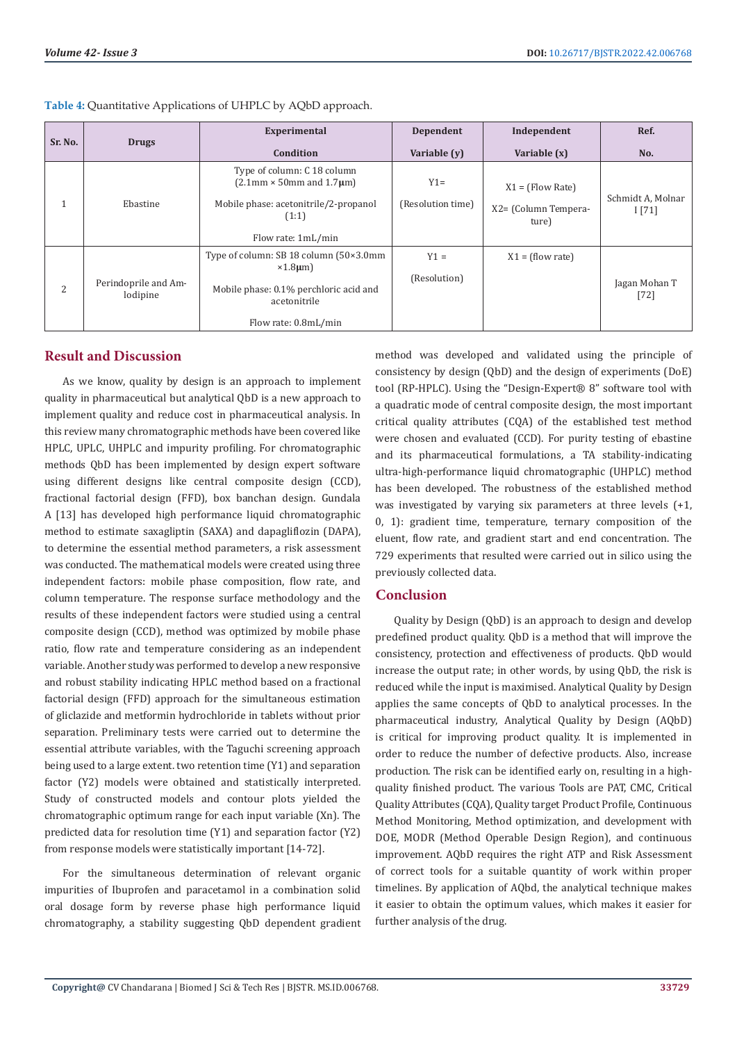| Sr. No. | <b>Drugs</b>                     | Experimental                                                                                                              | Dependent                   | Independent                                         | Ref.                       |
|---------|----------------------------------|---------------------------------------------------------------------------------------------------------------------------|-----------------------------|-----------------------------------------------------|----------------------------|
|         |                                  | Condition                                                                                                                 | Variable (y)                | Variable (x)                                        | No.                        |
| 1       | Ebastine                         | Type of column: C 18 column<br>$(2.1$ mm $\times$ 50mm and 1.7 $\mu$ m)<br>Mobile phase: acetonitrile/2-propanol<br>(1:1) | $Y1 =$<br>(Resolution time) | $X1 = (Flow Rate)$<br>X2= (Column Tempera-<br>ture) | Schmidt A, Molnar<br>1[71] |
|         |                                  | Flow rate: 1mL/min                                                                                                        |                             |                                                     |                            |
| 2       | Perindoprile and Am-<br>lodipine | Type of column: SB 18 column (50×3.0mm)<br>$\times1.8$ µm)<br>Mobile phase: 0.1% perchloric acid and<br>acetonitrile      | $Y1 =$<br>(Resolution)      | $X1 = (flow rate)$                                  | Jagan Mohan T<br>$[72]$    |
|         |                                  | Flow rate: 0.8mL/min                                                                                                      |                             |                                                     |                            |

**Table 4:** Quantitative Applications of UHPLC by AQbD approach.

# **Result and Discussion**

As we know, quality by design is an approach to implement quality in pharmaceutical but analytical QbD is a new approach to implement quality and reduce cost in pharmaceutical analysis. In this review many chromatographic methods have been covered like HPLC, UPLC, UHPLC and impurity profiling. For chromatographic methods QbD has been implemented by design expert software using different designs like central composite design (CCD), fractional factorial design (FFD), box banchan design. Gundala A [13] has developed high performance liquid chromatographic method to estimate saxagliptin (SAXA) and dapagliflozin (DAPA), to determine the essential method parameters, a risk assessment was conducted. The mathematical models were created using three independent factors: mobile phase composition, flow rate, and column temperature. The response surface methodology and the results of these independent factors were studied using a central composite design (CCD), method was optimized by mobile phase ratio, flow rate and temperature considering as an independent variable. Another study was performed to develop a new responsive and robust stability indicating HPLC method based on a fractional factorial design (FFD) approach for the simultaneous estimation of gliclazide and metformin hydrochloride in tablets without prior separation. Preliminary tests were carried out to determine the essential attribute variables, with the Taguchi screening approach being used to a large extent. two retention time (Y1) and separation factor (Y2) models were obtained and statistically interpreted. Study of constructed models and contour plots yielded the chromatographic optimum range for each input variable (Xn). The predicted data for resolution time (Y1) and separation factor (Y2) from response models were statistically important [14-72].

For the simultaneous determination of relevant organic impurities of Ibuprofen and paracetamol in a combination solid oral dosage form by reverse phase high performance liquid chromatography, a stability suggesting QbD dependent gradient

method was developed and validated using the principle of consistency by design (QbD) and the design of experiments (DoE) tool (RP-HPLC). Using the "Design-Expert® 8" software tool with a quadratic mode of central composite design, the most important critical quality attributes (CQA) of the established test method were chosen and evaluated (CCD). For purity testing of ebastine and its pharmaceutical formulations, a TA stability-indicating ultra-high-performance liquid chromatographic (UHPLC) method has been developed. The robustness of the established method was investigated by varying six parameters at three levels (+1, 0, 1): gradient time, temperature, ternary composition of the eluent, flow rate, and gradient start and end concentration. The 729 experiments that resulted were carried out in silico using the previously collected data.

# **Conclusion**

Quality by Design (QbD) is an approach to design and develop predefined product quality. QbD is a method that will improve the consistency, protection and effectiveness of products. QbD would increase the output rate; in other words, by using QbD, the risk is reduced while the input is maximised. Analytical Quality by Design applies the same concepts of QbD to analytical processes. In the pharmaceutical industry, Analytical Quality by Design (AQbD) is critical for improving product quality. It is implemented in order to reduce the number of defective products. Also, increase production. The risk can be identified early on, resulting in a highquality finished product. The various Tools are PAT, CMC, Critical Quality Attributes (CQA), Quality target Product Profile, Continuous Method Monitoring, Method optimization, and development with DOE, MODR (Method Operable Design Region), and continuous improvement. AQbD requires the right ATP and Risk Assessment of correct tools for a suitable quantity of work within proper timelines. By application of AQbd, the analytical technique makes it easier to obtain the optimum values, which makes it easier for further analysis of the drug.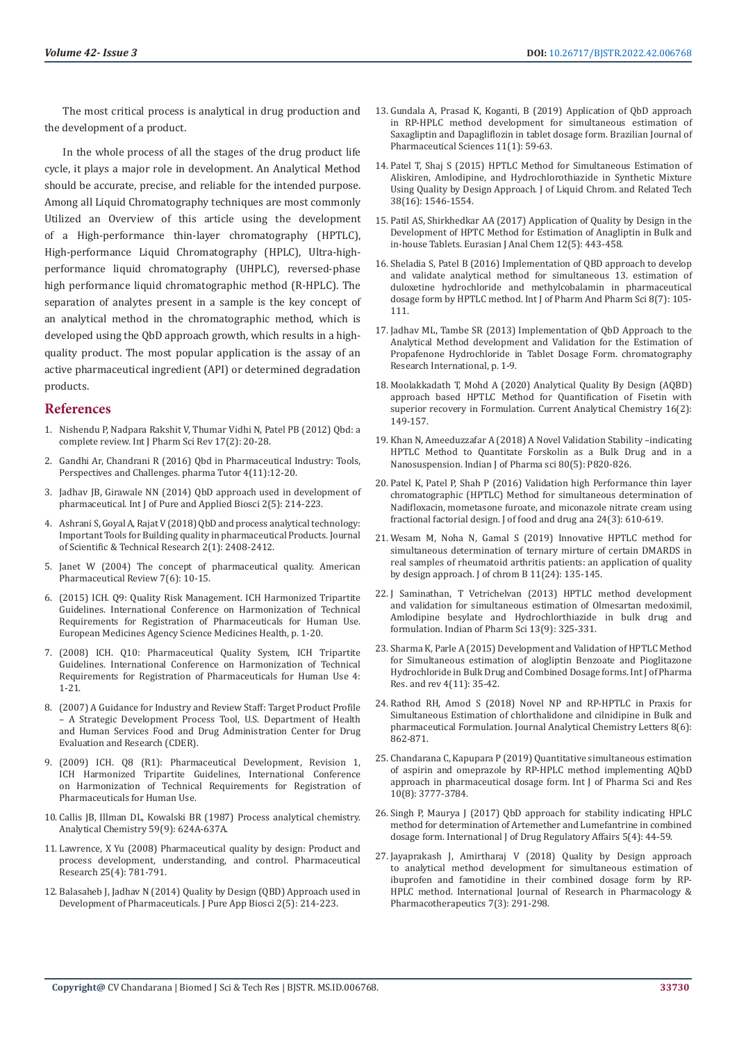The most critical process is analytical in drug production and the development of a product.

In the whole process of all the stages of the drug product life cycle, it plays a major role in development. An Analytical Method should be accurate, precise, and reliable for the intended purpose. Among all Liquid Chromatography techniques are most commonly Utilized an Overview of this article using the development of a High-performance thin-layer chromatography (HPTLC), High-performance Liquid Chromatography (HPLC), Ultra-highperformance liquid chromatography (UHPLC), reversed-phase high performance liquid chromatographic method (R-HPLC). The separation of analytes present in a sample is the key concept of an analytical method in the chromatographic method, which is developed using the QbD approach growth, which results in a highquality product. The most popular application is the assay of an active pharmaceutical ingredient (API) or determined degradation products.

#### **References**

- 1. [Nishendu P, Nadpara Rakshit V, Thumar Vidhi N, Patel PB \(2012\) Qbd: a](https://globalresearchonline.net/journalcontents/v17-2/04.pdf)  [complete review. Int J Pharm Sci Rev 17\(2\): 20-28.](https://globalresearchonline.net/journalcontents/v17-2/04.pdf)
- 2. [Gandhi Ar, Chandrani R \(2016\) Qbd in Pharmaceutical Industry: Tools,](https://www.pharmatutor.org/articles/quality-by-design-qbd-in-pharmaceutical-industry-tools-perspectives-and-challenges)  [Perspectives and Challenges. pharma Tutor 4\(11\):12-20.](https://www.pharmatutor.org/articles/quality-by-design-qbd-in-pharmaceutical-industry-tools-perspectives-and-challenges)
- 3. [Jadhav JB, Girawale NN \(2014\) QbD approach used in development of](http://www.ijpab.com/form/2014%20Volume%202,%20issue%205/IJPAB-2014-2-5-214-223.pdf)  [pharmaceutical. Int J of Pure and Applied Biosci 2\(5\): 214-223.](http://www.ijpab.com/form/2014%20Volume%202,%20issue%205/IJPAB-2014-2-5-214-223.pdf)
- 4. [Ashrani S, Goyal A, Rajat V \(2018\) QbD and process analytical technology:](https://biomedres.us/pdfs/BJSTR.MS.ID.000704.pdf)  [Important Tools for Building quality in pharmaceutical Products. Journal](https://biomedres.us/pdfs/BJSTR.MS.ID.000704.pdf)  [of Scientific & Technical Research 2\(1\): 2408-2412.](https://biomedres.us/pdfs/BJSTR.MS.ID.000704.pdf)
- 5. [Janet W \(2004\) The concept of pharmaceutical quality. American](https://www.researchgate.net/publication/279577343_The_concept_of_pharmaceutical_quality)  [Pharmaceutical Review 7\(6\): 10-15.](https://www.researchgate.net/publication/279577343_The_concept_of_pharmaceutical_quality)
- 6. [\(2015\) ICH. Q9: Quality Risk Management. ICH Harmonized Tripartite](https://www.ema.europa.eu/en/documents/scientific-guideline/international-conference-harmonisation-technical-requirements-registration-pharmaceuticals-human-use_en-3.pdf)  [Guidelines. International Conference on Harmonization of Technical](https://www.ema.europa.eu/en/documents/scientific-guideline/international-conference-harmonisation-technical-requirements-registration-pharmaceuticals-human-use_en-3.pdf)  [Requirements for Registration of Pharmaceuticals for Human Use.](https://www.ema.europa.eu/en/documents/scientific-guideline/international-conference-harmonisation-technical-requirements-registration-pharmaceuticals-human-use_en-3.pdf)  [European Medicines Agency Science Medicines Health, p. 1-20.](https://www.ema.europa.eu/en/documents/scientific-guideline/international-conference-harmonisation-technical-requirements-registration-pharmaceuticals-human-use_en-3.pdf)
- 7. [\(2008\) ICH. Q10: Pharmaceutical Quality System, ICH Tripartite](https://database.ich.org/sites/default/files/Q10%20Guideline.pdf)  [Guidelines. International Conference on Harmonization of Technical](https://database.ich.org/sites/default/files/Q10%20Guideline.pdf)  [Requirements for Registration of Pharmaceuticals for Human Use 4:](https://database.ich.org/sites/default/files/Q10%20Guideline.pdf)  [1-21.](https://database.ich.org/sites/default/files/Q10%20Guideline.pdf)
- 8. [\(2007\) A Guidance for Industry and Review Staff: Target Product Profile](http://www.ncai-cc.ccf.org/skills/documents/U.S.%20FDA%20Target%20Product%20Profile%20Guidance%20Document%20(2007).pdf)  [– A Strategic Development Process Tool, U.S. Department of Health](http://www.ncai-cc.ccf.org/skills/documents/U.S.%20FDA%20Target%20Product%20Profile%20Guidance%20Document%20(2007).pdf)  [and Human Services Food and Drug Administration Center for Drug](http://www.ncai-cc.ccf.org/skills/documents/U.S.%20FDA%20Target%20Product%20Profile%20Guidance%20Document%20(2007).pdf)  [Evaluation and Research \(CDER\).](http://www.ncai-cc.ccf.org/skills/documents/U.S.%20FDA%20Target%20Product%20Profile%20Guidance%20Document%20(2007).pdf)
- 9. [\(2009\) ICH. Q8 \(R1\): Pharmaceutical Development, Revision 1,](https://www.ema.europa.eu/en/documents/scientific-guideline/international-conference-harmonisation-technical-requirements-registration-pharmaceuticals-human-use_en-11.pdf)  [ICH Harmonized Tripartite Guidelines, International Conference](https://www.ema.europa.eu/en/documents/scientific-guideline/international-conference-harmonisation-technical-requirements-registration-pharmaceuticals-human-use_en-11.pdf)  [on Harmonization of Technical Requirements for Registration of](https://www.ema.europa.eu/en/documents/scientific-guideline/international-conference-harmonisation-technical-requirements-registration-pharmaceuticals-human-use_en-11.pdf)  [Pharmaceuticals for Human Use.](https://www.ema.europa.eu/en/documents/scientific-guideline/international-conference-harmonisation-technical-requirements-registration-pharmaceuticals-human-use_en-11.pdf)
- 10. [Callis JB, Illman DL, Kowalski BR \(1987\) Process analytical chemistry.](https://pubs.acs.org/doi/abs/10.1021/ac00136a001)  [Analytical Chemistry 59\(9\): 624A-637A.](https://pubs.acs.org/doi/abs/10.1021/ac00136a001)
- 11. [Lawrence, X Yu \(2008\) Pharmaceutical quality by design: Product and](https://pubmed.ncbi.nlm.nih.gov/18185986/)  [process development, understanding, and control. Pharmaceutical](https://pubmed.ncbi.nlm.nih.gov/18185986/)  [Research 25\(4\): 781-791.](https://pubmed.ncbi.nlm.nih.gov/18185986/)
- 12. [Balasaheb J, Jadhav N \(2014\) Quality by Design \(QBD\) Approach used in](http://www.ijpab.com/form/2014%20Volume%202,%20issue%205/IJPAB-2014-2-5-214-223.pdf)  [Development of Pharmaceuticals. J Pure App Biosci 2\(5\): 214-223.](http://www.ijpab.com/form/2014%20Volume%202,%20issue%205/IJPAB-2014-2-5-214-223.pdf)
- 13. [Gundala A, Prasad K, Koganti, B \(2019\) Application of QbD approach](https://www.scielo.br/j/bjps/a/ypCTbwqtWcpb5Z4WddHrzHK/?format=pdf&lang=en) [in RP-HPLC method development for simultaneous estimation of](https://www.scielo.br/j/bjps/a/ypCTbwqtWcpb5Z4WddHrzHK/?format=pdf&lang=en) [Saxagliptin and Dapagliflozin in tablet dosage form. Brazilian Journal of](https://www.scielo.br/j/bjps/a/ypCTbwqtWcpb5Z4WddHrzHK/?format=pdf&lang=en) [Pharmaceutical Sciences 11\(1\): 59-63.](https://www.scielo.br/j/bjps/a/ypCTbwqtWcpb5Z4WddHrzHK/?format=pdf&lang=en)
- 14. [Patel T, Shaj S \(2015\) HPTLC Method for Simultaneous Estimation of](https://www.researchgate.net/publication/281893119_HPTLC_Method_for_Simultaneous_Estimation_of_Aliskiren_Amlodipine_and_Hydrochlorothiazide_in_Synthetic_Mixture_Using_Quality_by_Design_Approach) [Aliskiren, Amlodipine, and Hydrochlorothiazide in Synthetic Mixture](https://www.researchgate.net/publication/281893119_HPTLC_Method_for_Simultaneous_Estimation_of_Aliskiren_Amlodipine_and_Hydrochlorothiazide_in_Synthetic_Mixture_Using_Quality_by_Design_Approach) [Using Quality by Design Approach. J of Liquid Chrom. and Related Tech](https://www.researchgate.net/publication/281893119_HPTLC_Method_for_Simultaneous_Estimation_of_Aliskiren_Amlodipine_and_Hydrochlorothiazide_in_Synthetic_Mixture_Using_Quality_by_Design_Approach) [38\(16\): 1546-1554.](https://www.researchgate.net/publication/281893119_HPTLC_Method_for_Simultaneous_Estimation_of_Aliskiren_Amlodipine_and_Hydrochlorothiazide_in_Synthetic_Mixture_Using_Quality_by_Design_Approach)
- 15. [Patil AS, Shirkhedkar AA \(2017\) Application of Quality by Design in the](http://www.eurasianjournals.com/data-cms/articles/20210901053756pm00181a.pdf) [Development of HPTC Method for Estimation of Anagliptin in Bulk and](http://www.eurasianjournals.com/data-cms/articles/20210901053756pm00181a.pdf) [in-house Tablets. Eurasian J Anal Chem 12\(5\): 443-458.](http://www.eurasianjournals.com/data-cms/articles/20210901053756pm00181a.pdf)
- 16. [Sheladia S, Patel B \(2016\) Implementation of QBD approach to develop](https://innovareacademics.in/journals/index.php/ijpps/article/view/11003/6188) [and validate analytical method for simultaneous 13. estimation of](https://innovareacademics.in/journals/index.php/ijpps/article/view/11003/6188) [duloxetine hydrochloride and methylcobalamin in pharmaceutical](https://innovareacademics.in/journals/index.php/ijpps/article/view/11003/6188) [dosage form by HPTLC method. Int J of Pharm And Pharm Sci 8\(7\): 105-](https://innovareacademics.in/journals/index.php/ijpps/article/view/11003/6188) [111.](https://innovareacademics.in/journals/index.php/ijpps/article/view/11003/6188)
- 17. [Jadhav ML, Tambe SR \(2013\) Implementation of QbD Approach to the](https://www.hindawi.com/journals/cri/2013/676501/) [Analytical Method development and Validation for the Estimation of](https://www.hindawi.com/journals/cri/2013/676501/) [Propafenone Hydrochloride in Tablet Dosage Form. chromatography](https://www.hindawi.com/journals/cri/2013/676501/) [Research International, p. 1-9.](https://www.hindawi.com/journals/cri/2013/676501/)
- 18. [Moolakkadath T, Mohd A \(2020\) Analytical Quality By Design \(AQBD\)](https://www.scilit.net/article/192ed4ca8e3097c078827bb20a52c3dc) [approach based HPTLC Method for Quantification of Fisetin with](https://www.scilit.net/article/192ed4ca8e3097c078827bb20a52c3dc) [superior recovery in Formulation. Current Analytical Chemistry 16\(2\):](https://www.scilit.net/article/192ed4ca8e3097c078827bb20a52c3dc) [149-157.](https://www.scilit.net/article/192ed4ca8e3097c078827bb20a52c3dc)
- 19. [Khan N, Ameeduzzafar A \(2018\) A Novel Validation Stability –indicating](https://www.ijpsonline.com/articles/a-novel-validated-stabilityindicating-hptlc-method-to-quantitate-forskolin-as-a-bulk-drug-and-in-a-nanosuspension-3535.html) [HPTLC Method to Quantitate Forskolin as a Bulk Drug and in a](https://www.ijpsonline.com/articles/a-novel-validated-stabilityindicating-hptlc-method-to-quantitate-forskolin-as-a-bulk-drug-and-in-a-nanosuspension-3535.html) [Nanosuspension. Indian J of Pharma sci 80\(5\): P820-826.](https://www.ijpsonline.com/articles/a-novel-validated-stabilityindicating-hptlc-method-to-quantitate-forskolin-as-a-bulk-drug-and-in-a-nanosuspension-3535.html)
- 20. [Patel K, Patel P, Shah P \(2016\) Validation high Performance thin layer](https://www.sciencedirect.com/science/article/pii/S1021949816300333) [chromatographic \(HPTLC\) Method for simultaneous determination of](https://www.sciencedirect.com/science/article/pii/S1021949816300333) [Nadifloxacin, mometasone furoate, and miconazole nitrate cream using](https://www.sciencedirect.com/science/article/pii/S1021949816300333) [fractional factorial design. J of food and drug ana 24\(3\): 610-619.](https://www.sciencedirect.com/science/article/pii/S1021949816300333)
- 21. [Wesam M, Noha N, Gamal S \(2019\) Innovative HPTLC method for](https://pubmed.ncbi.nlm.nih.gov/31200245/) [simultaneous determination of ternary mirture of certain DMARDS in](https://pubmed.ncbi.nlm.nih.gov/31200245/) [real samples of rheumatoid arthritis patients: an application of quality](https://pubmed.ncbi.nlm.nih.gov/31200245/) [by design approach. J of chrom B 11\(24\): 135-145.](https://pubmed.ncbi.nlm.nih.gov/31200245/)
- 22. [J Saminathan, T Vetrichelvan \(2013\) HPTLC method development](https://www.tsijournals.com/articles/hptlc-method-development-and-validation-for-simultaneous-estimation-of-olmesartan-medoximil-amlodipine-besylate-and-hydr.pdf) [and validation for simultaneous estimation of Olmesartan medoximil,](https://www.tsijournals.com/articles/hptlc-method-development-and-validation-for-simultaneous-estimation-of-olmesartan-medoximil-amlodipine-besylate-and-hydr.pdf) [Amlodipine besylate and Hydrochlorthiazide in bulk drug and](https://www.tsijournals.com/articles/hptlc-method-development-and-validation-for-simultaneous-estimation-of-olmesartan-medoximil-amlodipine-besylate-and-hydr.pdf) [formulation. Indian of Pharm Sci 13\(9\): 325-331.](https://www.tsijournals.com/articles/hptlc-method-development-and-validation-for-simultaneous-estimation-of-olmesartan-medoximil-amlodipine-besylate-and-hydr.pdf)
- 23. [Sharma K, Parle A \(2015\) Development and Validation of HPTLC Method](https://www.semanticscholar.org/paper/Development-and-Validation-of-HPTLC-Method-for-of-Sharma-Parle/02aa2462f3c0d4831dffce36900ddef02809a254) [for Simultaneous estimation of alogliptin Benzoate and Pioglitazone](https://www.semanticscholar.org/paper/Development-and-Validation-of-HPTLC-Method-for-of-Sharma-Parle/02aa2462f3c0d4831dffce36900ddef02809a254) [Hydrochloride in Bulk Drug and Combined Dosage forms. Int J of Pharma](https://www.semanticscholar.org/paper/Development-and-Validation-of-HPTLC-Method-for-of-Sharma-Parle/02aa2462f3c0d4831dffce36900ddef02809a254) [Res. and rev 4\(11\): 35-42.](https://www.semanticscholar.org/paper/Development-and-Validation-of-HPTLC-Method-for-of-Sharma-Parle/02aa2462f3c0d4831dffce36900ddef02809a254)
- 24. [Rathod RH, Amod S \(2018\) Novel NP and RP-HPTLC in Praxis for](https://www.tandfonline.com/doi/abs/10.1080/22297928.2018.1527252) [Simultaneous Estimation of chlorthalidone and cilnidipine in Bulk and](https://www.tandfonline.com/doi/abs/10.1080/22297928.2018.1527252) [pharmaceutical Formulation. Journal Analytical Chemistry Letters 8\(6\):](https://www.tandfonline.com/doi/abs/10.1080/22297928.2018.1527252) [862-871.](https://www.tandfonline.com/doi/abs/10.1080/22297928.2018.1527252)
- 25. [Chandarana C, Kapupara P \(2019\) Quantitative simultaneous estimation](https://ijpsr.com/bft-article/quantitative-simultaneous-estimation-of-aspirin-and-omeprazole-by-rp-hplc-method-implementing-aqbd-approach-in-pharmaceutical-dosage-form/) [of aspirin and omeprazole by RP-HPLC method implementing AQbD](https://ijpsr.com/bft-article/quantitative-simultaneous-estimation-of-aspirin-and-omeprazole-by-rp-hplc-method-implementing-aqbd-approach-in-pharmaceutical-dosage-form/) [approach in pharmaceutical dosage form. Int J of Pharma Sci and Res](https://ijpsr.com/bft-article/quantitative-simultaneous-estimation-of-aspirin-and-omeprazole-by-rp-hplc-method-implementing-aqbd-approach-in-pharmaceutical-dosage-form/) [10\(8\): 3777-3784.](https://ijpsr.com/bft-article/quantitative-simultaneous-estimation-of-aspirin-and-omeprazole-by-rp-hplc-method-implementing-aqbd-approach-in-pharmaceutical-dosage-form/)
- 26. [Singh P, Maurya J \(2017\) QbD approach for stability indicating HPLC](http://ijdra.com/index.php/journal/article/view/209) [method for determination of Artemether and Lumefantrine in combined](http://ijdra.com/index.php/journal/article/view/209) [dosage form. International J of Drug Regulatory Affairs 5\(4\): 44-59.](http://ijdra.com/index.php/journal/article/view/209)
- 27. [Jayaprakash J, Amirtharaj V \(2018\) Quality by Design approach](https://ijrpp.com/ijrpp/article/view/299) [to analytical method development for simultaneous estimation of](https://ijrpp.com/ijrpp/article/view/299) [ibuprofen and famotidine in their combined dosage form by RP-](https://ijrpp.com/ijrpp/article/view/299)[HPLC method. International Journal of Research in Pharmacology &](https://ijrpp.com/ijrpp/article/view/299) [Pharmacotherapeutics 7\(3\): 291-298.](https://ijrpp.com/ijrpp/article/view/299)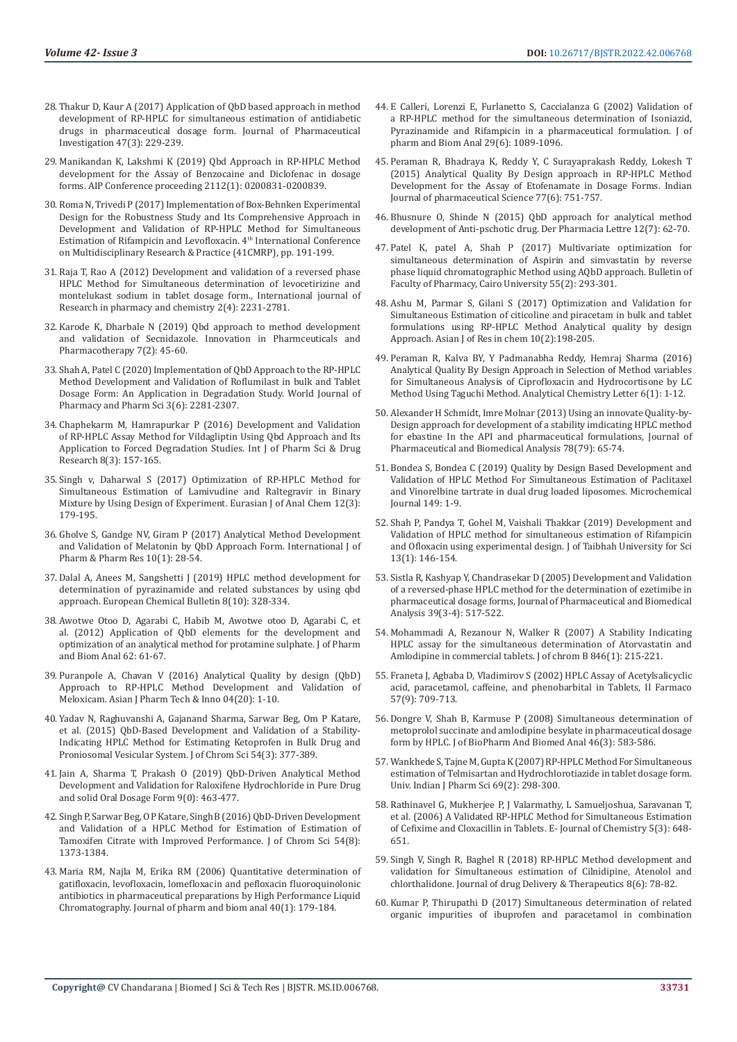- 28. [Thakur D, Kaur A \(2017\) Application of QbD based approach in method](https://www.infona.pl/resource/bwmeta1.element.springer-doi-10_1007-S40005-016-0256-X)  [development of RP-HPLC for simultaneous estimation of antidiabetic](https://www.infona.pl/resource/bwmeta1.element.springer-doi-10_1007-S40005-016-0256-X)  [drugs in pharmaceutical dosage form. Journal of Pharmaceutical](https://www.infona.pl/resource/bwmeta1.element.springer-doi-10_1007-S40005-016-0256-X)  [Investigation 47\(3\): 229-239.](https://www.infona.pl/resource/bwmeta1.element.springer-doi-10_1007-S40005-016-0256-X)
- 29. [Manikandan K, Lakshmi K \(2019\) Qbd Approach in RP-HPLC Method](https://aip.scitation.org/doi/abs/10.1063/1.5112268)  [development for the Assay of Benzocaine and Diclofenac in dosage](https://aip.scitation.org/doi/abs/10.1063/1.5112268)  [forms. AIP Conference proceeding 2112\(1\): 0200831-0200839.](https://aip.scitation.org/doi/abs/10.1063/1.5112268)
- 30. [Roma N, Trivedi P \(2017\) Implementation of Box-Behnken Experimental](https://www.rsisinternational.org/conference/4ICMRP2017/papers/191-199.pdf)  [Design for the Robustness Study and Its Comprehensive Approach in](https://www.rsisinternational.org/conference/4ICMRP2017/papers/191-199.pdf)  [Development and Validation of RP-HPLC Method for Simultaneous](https://www.rsisinternational.org/conference/4ICMRP2017/papers/191-199.pdf)  [Estimation of Rifampicin and Levofloxacin. 4](https://www.rsisinternational.org/conference/4ICMRP2017/papers/191-199.pdf)th International Conference [on Multidisciplinary Research & Practice \(41CMRP\), pp. 191-199.](https://www.rsisinternational.org/conference/4ICMRP2017/papers/191-199.pdf)
- 31. [Raja T, Rao A \(2012\) Development and validation of a reversed phase](http://citeseerx.ist.psu.edu/viewdoc/download?doi=10.1.1.1067.856&rep=rep1&type=pdf)  [HPLC Method for Simultaneous determination of levocetirizine and](http://citeseerx.ist.psu.edu/viewdoc/download?doi=10.1.1.1067.856&rep=rep1&type=pdf)  [montelukast sodium in tablet dosage form., International journal of](http://citeseerx.ist.psu.edu/viewdoc/download?doi=10.1.1.1067.856&rep=rep1&type=pdf)  [Research in pharmacy and chemistry 2\(4\): 2231-2781.](http://citeseerx.ist.psu.edu/viewdoc/download?doi=10.1.1.1067.856&rep=rep1&type=pdf)
- 32. [Karode K, Dharbale N \(2019\) Qbd approach to method development](http://www.innpharmacotherapy.com/VolumeArticles/FullTextPDF/10191_04_IPP-07-AJ-2019-18_OA.pdf)  [and validation of Secnidazole. Innovation in Pharmceuticals and](http://www.innpharmacotherapy.com/VolumeArticles/FullTextPDF/10191_04_IPP-07-AJ-2019-18_OA.pdf)  [Pharmacotherapy 7\(2\): 45-60.](http://www.innpharmacotherapy.com/VolumeArticles/FullTextPDF/10191_04_IPP-07-AJ-2019-18_OA.pdf)
- 33. [Shah A, Patel C \(2020\) Implementation of QbD Approach to the RP-HPLC](https://www.semanticscholar.org/paper/IMPLEMENTATION-OF-QbD-APPROACH-TO-THE-RP-HPLC-AND-Shah-Patel/e036b5800d8d1d8718ef140ff0f46a9713941c84)  [Method Development and Validation of Roflumilast in bulk and Tablet](https://www.semanticscholar.org/paper/IMPLEMENTATION-OF-QbD-APPROACH-TO-THE-RP-HPLC-AND-Shah-Patel/e036b5800d8d1d8718ef140ff0f46a9713941c84)  [Dosage Form: An Application in Degradation Study. World Journal of](https://www.semanticscholar.org/paper/IMPLEMENTATION-OF-QbD-APPROACH-TO-THE-RP-HPLC-AND-Shah-Patel/e036b5800d8d1d8718ef140ff0f46a9713941c84)  [Pharmacy and Pharm Sci 3\(6\): 2281-2307.](https://www.semanticscholar.org/paper/IMPLEMENTATION-OF-QbD-APPROACH-TO-THE-RP-HPLC-AND-Shah-Patel/e036b5800d8d1d8718ef140ff0f46a9713941c84)
- 34. [Chaphekarm M, Hamrapurkar P \(2016\) Development and Validation](https://www.ijpsdr.com/index.php/ijpsdr/article/view/517)  [of RP-HPLC Assay Method for Vildagliptin Using Qbd Approach and Its](https://www.ijpsdr.com/index.php/ijpsdr/article/view/517)  [Application to Forced Degradation Studies. Int J of Pharm Sci & Drug](https://www.ijpsdr.com/index.php/ijpsdr/article/view/517)  [Research 8\(3\): 157-165.](https://www.ijpsdr.com/index.php/ijpsdr/article/view/517)
- 35. [Singh v, Daharwal S \(2017\) Optimization of RP-HPLC Method for](https://www.researchgate.net/publication/316957923_Optimization_of_RP-HPLC_Method_for_Simultaneous_Estimation_of_Lamivudine_and_Raltegravir_in_Binary_Mixture_by_Using_Design_of_Experiment)  [Simultaneous Estimation of Lamivudine and Raltegravir in Binary](https://www.researchgate.net/publication/316957923_Optimization_of_RP-HPLC_Method_for_Simultaneous_Estimation_of_Lamivudine_and_Raltegravir_in_Binary_Mixture_by_Using_Design_of_Experiment)  Mixture by Using Design of Experiment. Eurasian J of Anal Chem 12(3): [179-195.](https://www.researchgate.net/publication/316957923_Optimization_of_RP-HPLC_Method_for_Simultaneous_Estimation_of_Lamivudine_and_Raltegravir_in_Binary_Mixture_by_Using_Design_of_Experiment)
- 36. [Gholve S, Gandge NV, Giram P \(2017\) Analytical Method Development](https://www.researchgate.net/publication/319701716_Analytical_Method_Development_and_Validation_of_Melatonin_by_QbD_Approach_Form)  [and Validation of Melatonin by QbD Approach Form. International J of](https://www.researchgate.net/publication/319701716_Analytical_Method_Development_and_Validation_of_Melatonin_by_QbD_Approach_Form)  [Pharm & Pharm Res 10\(1\): 28-54.](https://www.researchgate.net/publication/319701716_Analytical_Method_Development_and_Validation_of_Melatonin_by_QbD_Approach_Form)
- 37. [Dalal A, Anees M, Sangshetti J \(2019\) HPLC method development for](https://www.researchgate.net/publication/336606586_HPLC_METHOD_DEVELOPMENT_FOR_DETERMINATION_OF_PYRAZINAMIDE_AND_RELATED_SUBSTANCE_BY_USING_QUALITY_BY_DESIGN_QBD_APPROACH)  [determination of pyrazinamide and related substances by using qbd](https://www.researchgate.net/publication/336606586_HPLC_METHOD_DEVELOPMENT_FOR_DETERMINATION_OF_PYRAZINAMIDE_AND_RELATED_SUBSTANCE_BY_USING_QUALITY_BY_DESIGN_QBD_APPROACH)  [approach. European Chemical Bulletin 8\(10\): 328-334.](https://www.researchgate.net/publication/336606586_HPLC_METHOD_DEVELOPMENT_FOR_DETERMINATION_OF_PYRAZINAMIDE_AND_RELATED_SUBSTANCE_BY_USING_QUALITY_BY_DESIGN_QBD_APPROACH)
- 38. [Awotwe Otoo D, Agarabi C, Habib M, Awotwe otoo D, Agarabi C, et](https://pubmed.ncbi.nlm.nih.gov/22316620/)  [al. \(2012\) Application of QbD elements for the development and](https://pubmed.ncbi.nlm.nih.gov/22316620/)  [optimization of an analytical method for protamine sulphate. J of Pharm](https://pubmed.ncbi.nlm.nih.gov/22316620/)  [and Biom Anal 62: 61-67.](https://pubmed.ncbi.nlm.nih.gov/22316620/)
- 39. [Puranpole A, Chavan V \(2016\) Analytical Quality by design \(QbD\)](https://www.researchgate.net/publication/333673292_Analytical_Quality_by_Design_QbD_Approach_to_RP-HPLC_Method_Development_and_Validation_of_Meloxicam)  [Approach to RP-HPLC Method Development and Validation of](https://www.researchgate.net/publication/333673292_Analytical_Quality_by_Design_QbD_Approach_to_RP-HPLC_Method_Development_and_Validation_of_Meloxicam)  [Meloxicam. Asian J Pharm Tech & Inno 04\(20\): 1-10.](https://www.researchgate.net/publication/333673292_Analytical_Quality_by_Design_QbD_Approach_to_RP-HPLC_Method_Development_and_Validation_of_Meloxicam)
- 40. [Yadav N, Raghuvanshi A, Gajanand Sharma, Sarwar Beg, Om P Katare,](https://pubmed.ncbi.nlm.nih.gov/26514627/)  [et al. \(2015\) QbD-Based Development and Validation of a Stability-](https://pubmed.ncbi.nlm.nih.gov/26514627/)[Indicating HPLC Method for Estimating Ketoprofen in Bulk Drug and](https://pubmed.ncbi.nlm.nih.gov/26514627/)  [Proniosomal Vesicular System. J of Chrom Sci 54\(3\): 377-389.](https://pubmed.ncbi.nlm.nih.gov/26514627/)
- 41. [Jain A, Sharma T, Prakash O \(2019\) QbD-Driven Analytical Method](https://www.tandfonline.com/doi/abs/10.1080/22297928.2019.1624193)  [Development and Validation for Raloxifene Hydrochloride in Pure Drug](https://www.tandfonline.com/doi/abs/10.1080/22297928.2019.1624193)  [and solid Oral Dosage Form 9\(0\): 463-477.](https://www.tandfonline.com/doi/abs/10.1080/22297928.2019.1624193)
- 42. [Singh P, Sarwar Beg, O P Katare, Singh B \(2016\) QbD-Driven Development](https://pubmed.ncbi.nlm.nih.gov/27226463/)  [and Validation of a HPLC Method for Estimation of Estimation of](https://pubmed.ncbi.nlm.nih.gov/27226463/)  [Tamoxifen Citrate with Improved Performance. J of Chrom Sci 54\(8\):](https://pubmed.ncbi.nlm.nih.gov/27226463/)  [1373-1384.](https://pubmed.ncbi.nlm.nih.gov/27226463/)
- 43. [Maria RM, Najla M, Erika RM \(2006\) Quantitative determination of](https://pubmed.ncbi.nlm.nih.gov/16095864/)  [gatifloxacin, levofloxacin, lomefloxacin and pefloxacin fluoroquinolonic](https://pubmed.ncbi.nlm.nih.gov/16095864/)  [antibiotics in pharmaceutical preparations by High Performance Liquid](https://pubmed.ncbi.nlm.nih.gov/16095864/)  [Chromatography. Journal of pharm and biom anal 40\(1\): 179-184.](https://pubmed.ncbi.nlm.nih.gov/16095864/)
- 44. [E Calleri, Lorenzi E, Furlanetto S, Caccialanza G \(2002\) Validation of](https://pubmed.ncbi.nlm.nih.gov/12110394/) [a RP-HPLC method for the simultaneous determination of Isoniazid,](https://pubmed.ncbi.nlm.nih.gov/12110394/) [Pyrazinamide and Rifampicin in a pharmaceutical formulation. J of](https://pubmed.ncbi.nlm.nih.gov/12110394/) [pharm and Biom Anal 29\(6\): 1089-1096.](https://pubmed.ncbi.nlm.nih.gov/12110394/)
- 45. [Peraman R, Bhadraya K, Reddy Y, C Surayaprakash Reddy, Lokesh T](https://pubmed.ncbi.nlm.nih.gov/26997704/) [\(2015\) Analytical Quality By Design approach in RP-HPLC Method](https://pubmed.ncbi.nlm.nih.gov/26997704/) [Development for the Assay of Etofenamate in Dosage Forms. Indian](https://pubmed.ncbi.nlm.nih.gov/26997704/) [Journal of pharmaceutical Science 77\(6\): 751-757.](https://pubmed.ncbi.nlm.nih.gov/26997704/)
- 46. [Bhusnure O, Shinde N \(2015\) QbD approach for analytical method](https://www.scholarsresearchlibrary.com/articles/qbd-approach-for-analytical-method-development-of-antipschotic-drug.pdf) [development of Anti-pschotic drug. Der Pharmacia Lettre 12\(7\): 62-70.](https://www.scholarsresearchlibrary.com/articles/qbd-approach-for-analytical-method-development-of-antipschotic-drug.pdf)
- 47. [Patel K, patel A, Shah P \(2017\) Multivariate optimization for](https://www.researchgate.net/publication/319676476_Multivariate_optimization_for_simultaneous_determination_of_aspirin_and_simvastatin_by_reverse_phase_liquid_chromatographic_method_using_AQbD_approach) [simultaneous determination of Aspirin and simvastatin by reverse](https://www.researchgate.net/publication/319676476_Multivariate_optimization_for_simultaneous_determination_of_aspirin_and_simvastatin_by_reverse_phase_liquid_chromatographic_method_using_AQbD_approach) [phase liquid chromatographic Method using AQbD approach. Bulletin of](https://www.researchgate.net/publication/319676476_Multivariate_optimization_for_simultaneous_determination_of_aspirin_and_simvastatin_by_reverse_phase_liquid_chromatographic_method_using_AQbD_approach) [Faculty of Pharmacy, Cairo University 55\(2\): 293-301.](https://www.researchgate.net/publication/319676476_Multivariate_optimization_for_simultaneous_determination_of_aspirin_and_simvastatin_by_reverse_phase_liquid_chromatographic_method_using_AQbD_approach)
- 48. [Ashu M, Parmar S, Gilani S \(2017\) Optimization and Validation for](https://www.researchgate.net/publication/318481789_Optimization_and_Validation_for_Simultaneous_Estimation_of_Citicoline_and_Piracetam_in_bulk_and_tablet_formulations_using_RP-HPLC_method_Analytical_quality_by_design_approach) [Simultaneous Estimation of citicoline and piracetam in bulk and tablet](https://www.researchgate.net/publication/318481789_Optimization_and_Validation_for_Simultaneous_Estimation_of_Citicoline_and_Piracetam_in_bulk_and_tablet_formulations_using_RP-HPLC_method_Analytical_quality_by_design_approach) [formulations using RP-HPLC Method Analytical quality by design](https://www.researchgate.net/publication/318481789_Optimization_and_Validation_for_Simultaneous_Estimation_of_Citicoline_and_Piracetam_in_bulk_and_tablet_formulations_using_RP-HPLC_method_Analytical_quality_by_design_approach) [Approach. Asian J of Res in chem 10\(2\):198-205.](https://www.researchgate.net/publication/318481789_Optimization_and_Validation_for_Simultaneous_Estimation_of_Citicoline_and_Piracetam_in_bulk_and_tablet_formulations_using_RP-HPLC_method_Analytical_quality_by_design_approach)
- 49. [Peraman R, Kalva BY, Y Padmanabha Reddy, Hemraj Sharma \(2016\)](https://www.tandfonline.com/doi/abs/10.1080/22297928.2016.1153431) [Analytical Quality By Design Approach in Selection of Method variables](https://www.tandfonline.com/doi/abs/10.1080/22297928.2016.1153431) [for Simultaneous Analysis of Ciprofloxacin and Hydrocortisone by LC](https://www.tandfonline.com/doi/abs/10.1080/22297928.2016.1153431) [Method Using Taguchi Method. Analytical Chemistry Letter 6\(1\): 1-12.](https://www.tandfonline.com/doi/abs/10.1080/22297928.2016.1153431)
- 50. [Alexander H Schmidt, Imre Molnar \(2013\) Using an innovate Quality-by-](https://pubmed.ncbi.nlm.nih.gov/23454599/)[Design approach for development of a stability imdicating HPLC method](https://pubmed.ncbi.nlm.nih.gov/23454599/) [for ebastine In the API and pharmaceutical formulations, Journal of](https://pubmed.ncbi.nlm.nih.gov/23454599/) [Pharmaceutical and Biomedical Analysis 78\(79\): 65-74.](https://pubmed.ncbi.nlm.nih.gov/23454599/)
- 51. [Bondea S, Bondea C \(2019\) Quality by Design Based Development and](https://www.semanticscholar.org/paper/Quality-by-design-based-development-and-validation-Bonde-Bonde/63c4abb6fd704e9990ecb14c1175160f18646aae) [Validation of HPLC Method For Simultaneous Estimation of Paclitaxel](https://www.semanticscholar.org/paper/Quality-by-design-based-development-and-validation-Bonde-Bonde/63c4abb6fd704e9990ecb14c1175160f18646aae) [and Vinorelbine tartrate in dual drug loaded liposomes. Microchemical](https://www.semanticscholar.org/paper/Quality-by-design-based-development-and-validation-Bonde-Bonde/63c4abb6fd704e9990ecb14c1175160f18646aae) [Journal 149: 1-9.](https://www.semanticscholar.org/paper/Quality-by-design-based-development-and-validation-Bonde-Bonde/63c4abb6fd704e9990ecb14c1175160f18646aae)
- 52. [Shah P, Pandya T, Gohel M, Vaishali Thakkar \(2019\) Development and](https://www.tandfonline.com/doi/full/10.1080/16583655.2018.1548748) [Validation of HPLC method for simultaneous estimation of Rifampicin](https://www.tandfonline.com/doi/full/10.1080/16583655.2018.1548748) [and Ofloxacin using experimental design. J of Taibhah University for Sci](https://www.tandfonline.com/doi/full/10.1080/16583655.2018.1548748) [13\(1\): 146-154.](https://www.tandfonline.com/doi/full/10.1080/16583655.2018.1548748)
- 53. [Sistla R, Kashyap Y, Chandrasekar D \(2005\) Development and Validation](https://pubmed.ncbi.nlm.nih.gov/15936912/) [of a reversed-phase HPLC method for the determination of ezetimibe in](https://pubmed.ncbi.nlm.nih.gov/15936912/) [pharmaceutical dosage forms, Journal of Pharmaceutical and Biomedical](https://pubmed.ncbi.nlm.nih.gov/15936912/) [Analysis 39\(3-4\): 517-522.](https://pubmed.ncbi.nlm.nih.gov/15936912/)
- 54. [Mohammadi A, Rezanour N, Walker R \(2007\) A Stability Indicating](https://pubmed.ncbi.nlm.nih.gov/17010681/) [HPLC assay for the simultaneous determination of Atorvastatin and](https://pubmed.ncbi.nlm.nih.gov/17010681/) [Amlodipine in commercial tablets. J of chrom B 846\(1\): 215-221.](https://pubmed.ncbi.nlm.nih.gov/17010681/)
- 55. [Franeta J, Agbaba D, Vladimirov S \(2002\) HPLC Assay of Acetylsalicyclic](https://pubmed.ncbi.nlm.nih.gov/12385520/) [acid, paracetamol, caffeine, and phenobarbital in Tablets, II Farmaco](https://pubmed.ncbi.nlm.nih.gov/12385520/) [57\(9\): 709-713.](https://pubmed.ncbi.nlm.nih.gov/12385520/)
- 56. [Dongre V, Shah B, Karmuse P \(2008\) Simultaneous determination of](https://pubmed.ncbi.nlm.nih.gov/18155869/) [metoprolol succinate and amlodipine besylate in pharmaceutical dosage](https://pubmed.ncbi.nlm.nih.gov/18155869/) [form by HPLC. J of BioPharm And Biomed Anal 46\(3\): 583-586.](https://pubmed.ncbi.nlm.nih.gov/18155869/)
- 57. [Wankhede S, Tajne M, Gupta K \(2007\) RP-HPLC Method For Simultaneous](https://www.ijpsonline.com/articles/rphplc-method-for-simultaneous-estimation-of-telmisartan-and-hydrochlorothiazide-in-tablet-dosage-form.html) [estimation of Telmisartan and Hydrochlorotiazide in tablet dosage form.](https://www.ijpsonline.com/articles/rphplc-method-for-simultaneous-estimation-of-telmisartan-and-hydrochlorothiazide-in-tablet-dosage-form.html) [Univ. Indian J Pharm Sci 69\(2\): 298-300.](https://www.ijpsonline.com/articles/rphplc-method-for-simultaneous-estimation-of-telmisartan-and-hydrochlorothiazide-in-tablet-dosage-form.html)
- 58. [Rathinavel G, Mukherjee P, J Valarmathy, L Samueljoshua, Saravanan T,](https://www.hindawi.com/journals/jchem/2008/152390/) [et al. \(2006\) A Validated RP-HPLC Method for Simultaneous Estimation](https://www.hindawi.com/journals/jchem/2008/152390/) [of Cefixime and Cloxacillin in Tablets. E- Journal of Chemistry 5\(3\): 648-](https://www.hindawi.com/journals/jchem/2008/152390/) [651.](https://www.hindawi.com/journals/jchem/2008/152390/)
- 59. [Singh V, Singh R, Baghel R \(2018\) RP-HPLC Method development and](http://jddtonline.info/index.php/jddt/article/view/2205) [validation for Simultaneous estimation of Cilnidipine, Atenolol and](http://jddtonline.info/index.php/jddt/article/view/2205) [chlorthalidone. Journal of drug Delivery & Therapeutics 8\(6\): 78-82.](http://jddtonline.info/index.php/jddt/article/view/2205)
- 60. [Kumar P, Thirupathi D \(2017\) Simultaneous determination of related](http://www.orientjchem.org/vol33no3/simultanious-determination-of-related-organic-impurities-of-ibuprofen-and-paracetamol-in-combination-solid-dosage-form-by-rp-hplc-with-qbd-approach/) [organic impurities of ibuprofen and paracetamol in combination](http://www.orientjchem.org/vol33no3/simultanious-determination-of-related-organic-impurities-of-ibuprofen-and-paracetamol-in-combination-solid-dosage-form-by-rp-hplc-with-qbd-approach/)